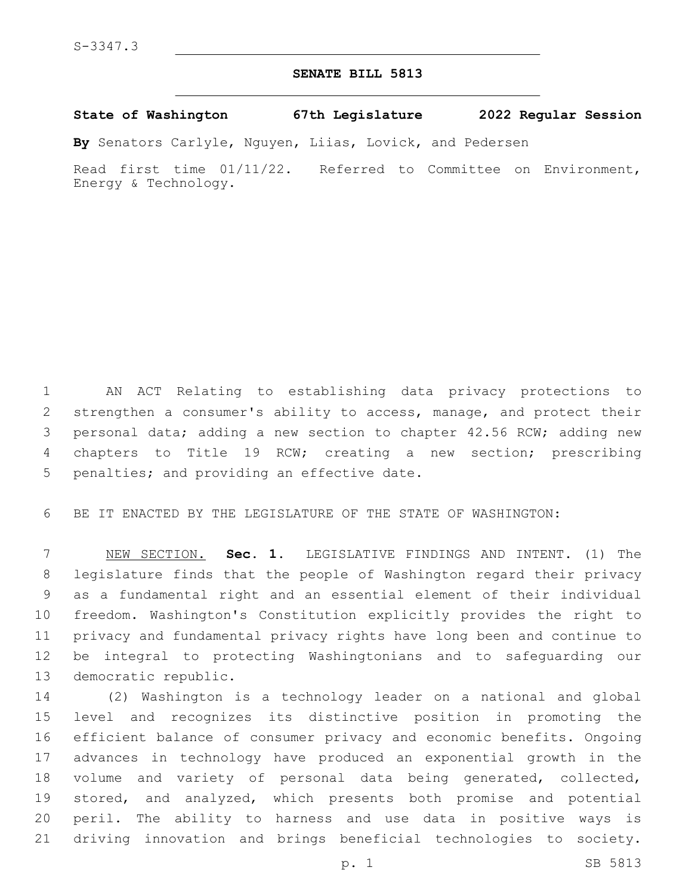## **SENATE BILL 5813**

**State of Washington 67th Legislature 2022 Regular Session**

**By** Senators Carlyle, Nguyen, Liias, Lovick, and Pedersen

Read first time 01/11/22. Referred to Committee on Environment, Energy & Technology.

 AN ACT Relating to establishing data privacy protections to strengthen a consumer's ability to access, manage, and protect their personal data; adding a new section to chapter 42.56 RCW; adding new chapters to Title 19 RCW; creating a new section; prescribing 5 penalties; and providing an effective date.

BE IT ENACTED BY THE LEGISLATURE OF THE STATE OF WASHINGTON:

 NEW SECTION. **Sec. 1.** LEGISLATIVE FINDINGS AND INTENT. (1) The legislature finds that the people of Washington regard their privacy as a fundamental right and an essential element of their individual freedom. Washington's Constitution explicitly provides the right to privacy and fundamental privacy rights have long been and continue to be integral to protecting Washingtonians and to safeguarding our democratic republic.

 (2) Washington is a technology leader on a national and global level and recognizes its distinctive position in promoting the efficient balance of consumer privacy and economic benefits. Ongoing advances in technology have produced an exponential growth in the volume and variety of personal data being generated, collected, stored, and analyzed, which presents both promise and potential peril. The ability to harness and use data in positive ways is driving innovation and brings beneficial technologies to society.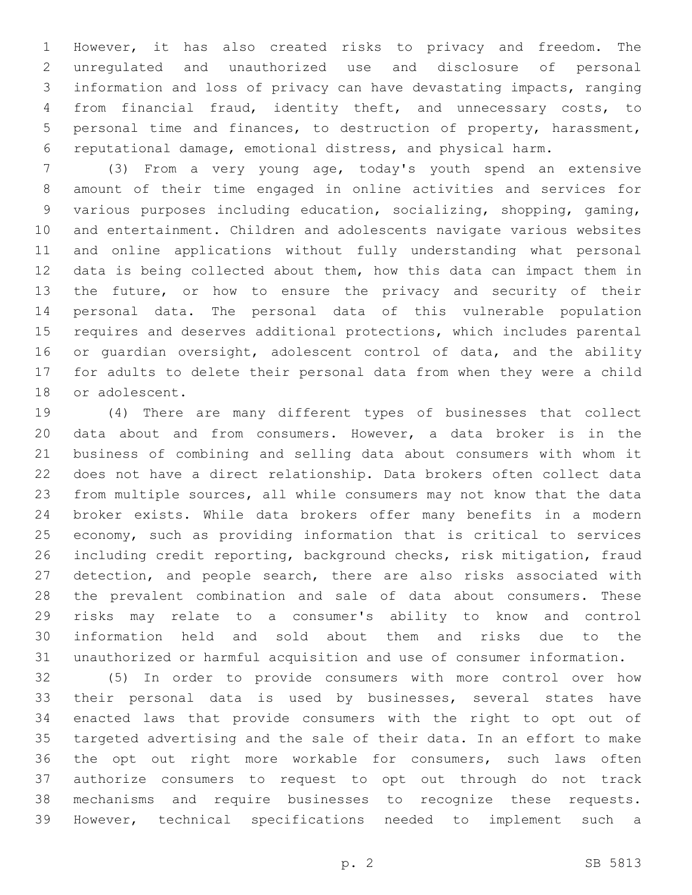However, it has also created risks to privacy and freedom. The unregulated and unauthorized use and disclosure of personal information and loss of privacy can have devastating impacts, ranging from financial fraud, identity theft, and unnecessary costs, to personal time and finances, to destruction of property, harassment, reputational damage, emotional distress, and physical harm.

 (3) From a very young age, today's youth spend an extensive amount of their time engaged in online activities and services for various purposes including education, socializing, shopping, gaming, and entertainment. Children and adolescents navigate various websites and online applications without fully understanding what personal data is being collected about them, how this data can impact them in the future, or how to ensure the privacy and security of their personal data. The personal data of this vulnerable population requires and deserves additional protections, which includes parental 16 or guardian oversight, adolescent control of data, and the ability for adults to delete their personal data from when they were a child 18 or adolescent.

 (4) There are many different types of businesses that collect data about and from consumers. However, a data broker is in the business of combining and selling data about consumers with whom it does not have a direct relationship. Data brokers often collect data from multiple sources, all while consumers may not know that the data broker exists. While data brokers offer many benefits in a modern economy, such as providing information that is critical to services including credit reporting, background checks, risk mitigation, fraud 27 detection, and people search, there are also risks associated with the prevalent combination and sale of data about consumers. These risks may relate to a consumer's ability to know and control information held and sold about them and risks due to the unauthorized or harmful acquisition and use of consumer information.

 (5) In order to provide consumers with more control over how their personal data is used by businesses, several states have enacted laws that provide consumers with the right to opt out of targeted advertising and the sale of their data. In an effort to make the opt out right more workable for consumers, such laws often authorize consumers to request to opt out through do not track mechanisms and require businesses to recognize these requests. However, technical specifications needed to implement such a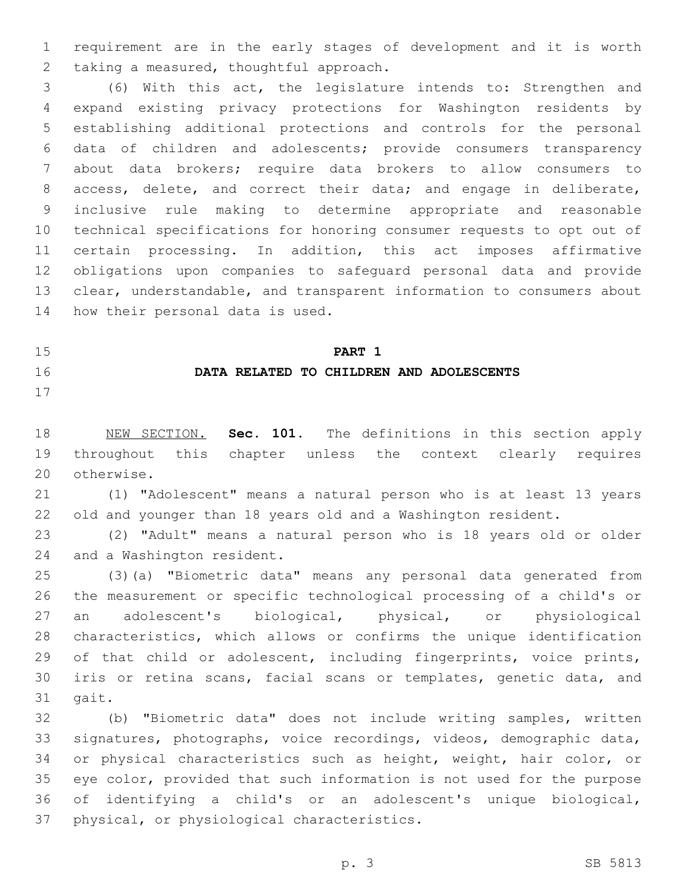requirement are in the early stages of development and it is worth 2 taking a measured, thoughtful approach.

 (6) With this act, the legislature intends to: Strengthen and expand existing privacy protections for Washington residents by establishing additional protections and controls for the personal data of children and adolescents; provide consumers transparency about data brokers; require data brokers to allow consumers to access, delete, and correct their data; and engage in deliberate, inclusive rule making to determine appropriate and reasonable technical specifications for honoring consumer requests to opt out of certain processing. In addition, this act imposes affirmative obligations upon companies to safeguard personal data and provide clear, understandable, and transparent information to consumers about 14 how their personal data is used.

 **PART 1 DATA RELATED TO CHILDREN AND ADOLESCENTS**

 NEW SECTION. **Sec. 101.** The definitions in this section apply throughout this chapter unless the context clearly requires otherwise.

 (1) "Adolescent" means a natural person who is at least 13 years old and younger than 18 years old and a Washington resident.

 (2) "Adult" means a natural person who is 18 years old or older 24 and a Washington resident.

 (3)(a) "Biometric data" means any personal data generated from the measurement or specific technological processing of a child's or an adolescent's biological, physical, or physiological characteristics, which allows or confirms the unique identification of that child or adolescent, including fingerprints, voice prints, iris or retina scans, facial scans or templates, genetic data, and 31 gait.

 (b) "Biometric data" does not include writing samples, written signatures, photographs, voice recordings, videos, demographic data, or physical characteristics such as height, weight, hair color, or eye color, provided that such information is not used for the purpose of identifying a child's or an adolescent's unique biological, 37 physical, or physiological characteristics.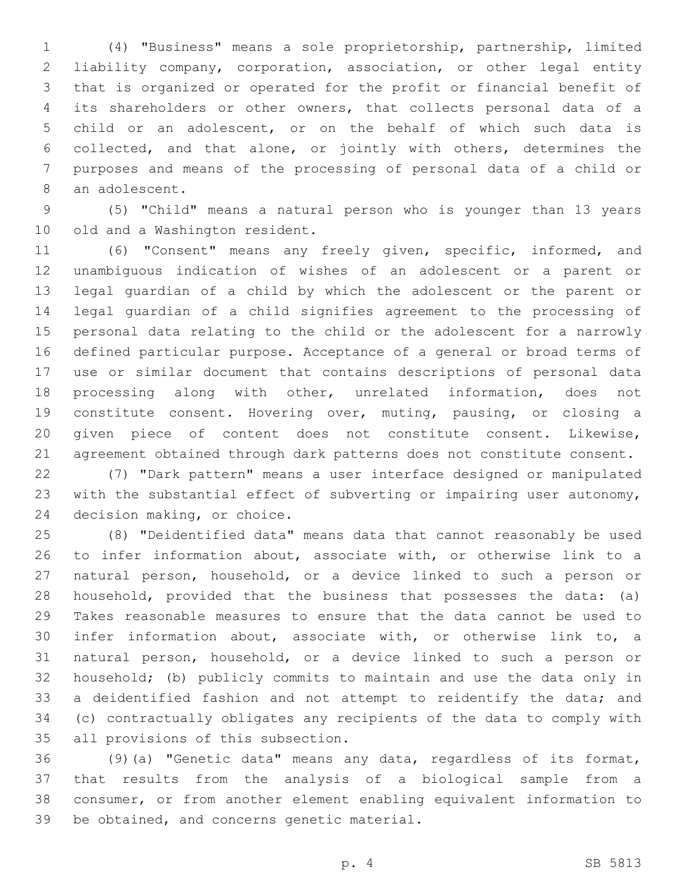(4) "Business" means a sole proprietorship, partnership, limited liability company, corporation, association, or other legal entity that is organized or operated for the profit or financial benefit of its shareholders or other owners, that collects personal data of a child or an adolescent, or on the behalf of which such data is collected, and that alone, or jointly with others, determines the purposes and means of the processing of personal data of a child or 8 an adolescent.

 (5) "Child" means a natural person who is younger than 13 years 10 old and a Washington resident.

 (6) "Consent" means any freely given, specific, informed, and unambiguous indication of wishes of an adolescent or a parent or legal guardian of a child by which the adolescent or the parent or legal guardian of a child signifies agreement to the processing of personal data relating to the child or the adolescent for a narrowly defined particular purpose. Acceptance of a general or broad terms of use or similar document that contains descriptions of personal data processing along with other, unrelated information, does not constitute consent. Hovering over, muting, pausing, or closing a given piece of content does not constitute consent. Likewise, 21 agreement obtained through dark patterns does not constitute consent.

 (7) "Dark pattern" means a user interface designed or manipulated with the substantial effect of subverting or impairing user autonomy, 24 decision making, or choice.

 (8) "Deidentified data" means data that cannot reasonably be used to infer information about, associate with, or otherwise link to a natural person, household, or a device linked to such a person or household, provided that the business that possesses the data: (a) Takes reasonable measures to ensure that the data cannot be used to infer information about, associate with, or otherwise link to, a natural person, household, or a device linked to such a person or household; (b) publicly commits to maintain and use the data only in 33 a deidentified fashion and not attempt to reidentify the data; and (c) contractually obligates any recipients of the data to comply with 35 all provisions of this subsection.

 (9)(a) "Genetic data" means any data, regardless of its format, that results from the analysis of a biological sample from a consumer, or from another element enabling equivalent information to 39 be obtained, and concerns genetic material.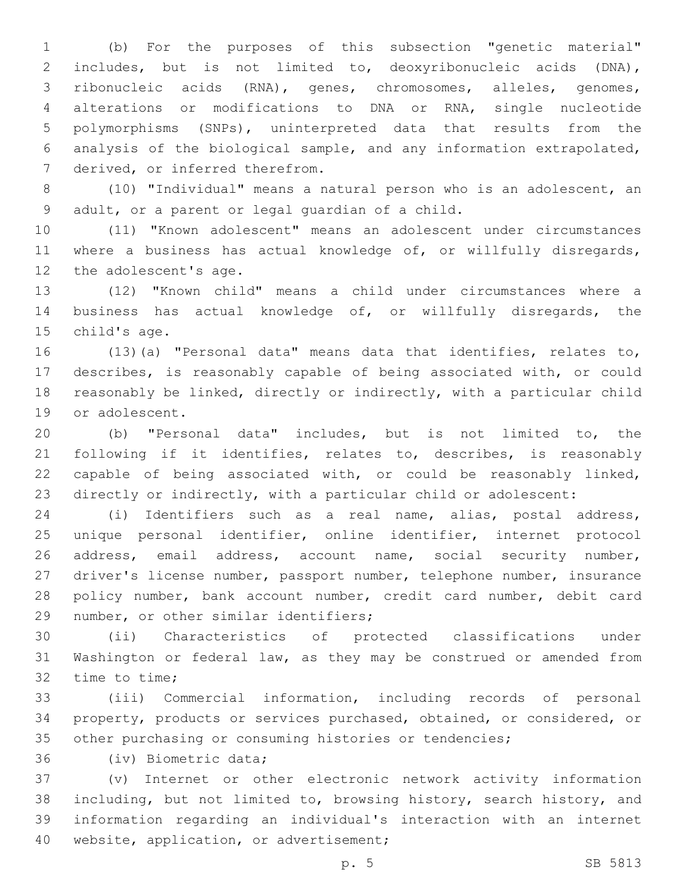(b) For the purposes of this subsection "genetic material" includes, but is not limited to, deoxyribonucleic acids (DNA), ribonucleic acids (RNA), genes, chromosomes, alleles, genomes, alterations or modifications to DNA or RNA, single nucleotide polymorphisms (SNPs), uninterpreted data that results from the analysis of the biological sample, and any information extrapolated, 7 derived, or inferred therefrom.

 (10) "Individual" means a natural person who is an adolescent, an 9 adult, or a parent or legal quardian of a child.

 (11) "Known adolescent" means an adolescent under circumstances where a business has actual knowledge of, or willfully disregards, 12 the adolescent's age.

 (12) "Known child" means a child under circumstances where a business has actual knowledge of, or willfully disregards, the 15 child's age.

 (13)(a) "Personal data" means data that identifies, relates to, describes, is reasonably capable of being associated with, or could reasonably be linked, directly or indirectly, with a particular child 19 or adolescent.

 (b) "Personal data" includes, but is not limited to, the following if it identifies, relates to, describes, is reasonably capable of being associated with, or could be reasonably linked, directly or indirectly, with a particular child or adolescent:

 (i) Identifiers such as a real name, alias, postal address, unique personal identifier, online identifier, internet protocol address, email address, account name, social security number, driver's license number, passport number, telephone number, insurance policy number, bank account number, credit card number, debit card 29 number, or other similar identifiers;

 (ii) Characteristics of protected classifications under Washington or federal law, as they may be construed or amended from 32 time to time;

 (iii) Commercial information, including records of personal property, products or services purchased, obtained, or considered, or other purchasing or consuming histories or tendencies;

36 (iv) Biometric data;

 (v) Internet or other electronic network activity information including, but not limited to, browsing history, search history, and information regarding an individual's interaction with an internet 40 website, application, or advertisement;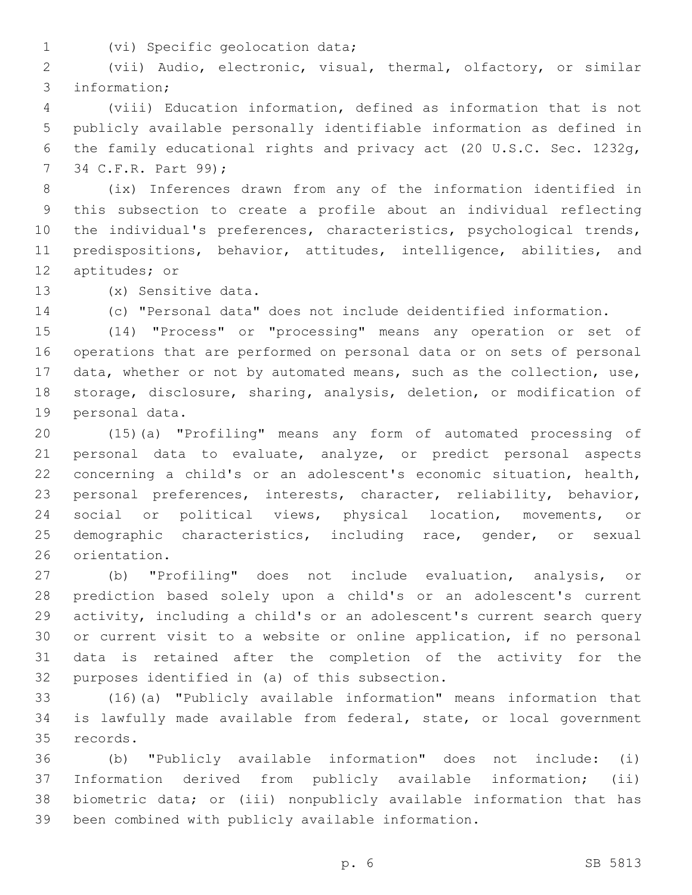1 (vi) Specific geolocation data;

 (vii) Audio, electronic, visual, thermal, olfactory, or similar 3 information;

 (viii) Education information, defined as information that is not publicly available personally identifiable information as defined in the family educational rights and privacy act (20 U.S.C. Sec. 1232g, 7 34 C.F.R. Part 99);

 (ix) Inferences drawn from any of the information identified in this subsection to create a profile about an individual reflecting the individual's preferences, characteristics, psychological trends, 11 predispositions, behavior, attitudes, intelligence, abilities, and 12 aptitudes; or

13 (x) Sensitive data.

(c) "Personal data" does not include deidentified information.

 (14) "Process" or "processing" means any operation or set of operations that are performed on personal data or on sets of personal data, whether or not by automated means, such as the collection, use, storage, disclosure, sharing**,** analysis, deletion, or modification of 19 personal data.

 (15)(a) "Profiling" means any form of automated processing of personal data to evaluate, analyze, or predict personal aspects concerning a child's or an adolescent's economic situation, health, personal preferences, interests, character, reliability, behavior, social or political views, physical location, movements, or demographic characteristics, including race, gender, or sexual 26 orientation.

 (b) "Profiling" does not include evaluation, analysis, or prediction based solely upon a child's or an adolescent's current activity, including a child's or an adolescent's current search query or current visit to a website or online application, if no personal data is retained after the completion of the activity for the 32 purposes identified in (a) of this subsection.

 (16)(a) "Publicly available information" means information that is lawfully made available from federal, state, or local government 35 records.

 (b) "Publicly available information" does not include: (i) Information derived from publicly available information; (ii) biometric data; or (iii) nonpublicly available information that has been combined with publicly available information.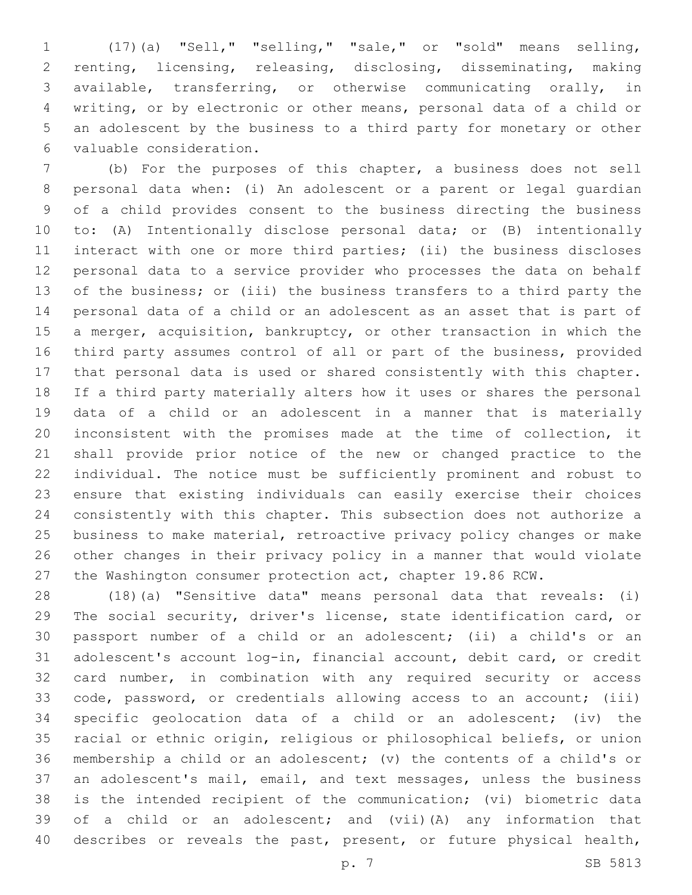(17)(a) "Sell," "selling," "sale," or "sold" means selling, renting, licensing, releasing, disclosing, disseminating, making available, transferring, or otherwise communicating orally, in writing, or by electronic or other means, personal data of a child or an adolescent by the business to a third party for monetary or other valuable consideration.6

 (b) For the purposes of this chapter, a business does not sell personal data when: (i) An adolescent or a parent or legal guardian of a child provides consent to the business directing the business to: (A) Intentionally disclose personal data; or (B) intentionally interact with one or more third parties; (ii) the business discloses personal data to a service provider who processes the data on behalf of the business; or (iii) the business transfers to a third party the personal data of a child or an adolescent as an asset that is part of a merger, acquisition, bankruptcy, or other transaction in which the third party assumes control of all or part of the business, provided that personal data is used or shared consistently with this chapter. If a third party materially alters how it uses or shares the personal data of a child or an adolescent in a manner that is materially inconsistent with the promises made at the time of collection, it shall provide prior notice of the new or changed practice to the individual. The notice must be sufficiently prominent and robust to ensure that existing individuals can easily exercise their choices consistently with this chapter. This subsection does not authorize a business to make material, retroactive privacy policy changes or make other changes in their privacy policy in a manner that would violate the Washington consumer protection act, chapter 19.86 RCW.

 (18)(a) "Sensitive data" means personal data that reveals: (i) The social security, driver's license, state identification card, or passport number of a child or an adolescent; (ii) a child's or an adolescent's account log-in, financial account, debit card, or credit card number, in combination with any required security or access code, password, or credentials allowing access to an account; (iii) specific geolocation data of a child or an adolescent; (iv) the racial or ethnic origin, religious or philosophical beliefs, or union membership a child or an adolescent; (v) the contents of a child's or an adolescent's mail, email, and text messages, unless the business is the intended recipient of the communication; (vi) biometric data of a child or an adolescent; and (vii)(A) any information that 40 describes or reveals the past, present, or future physical health,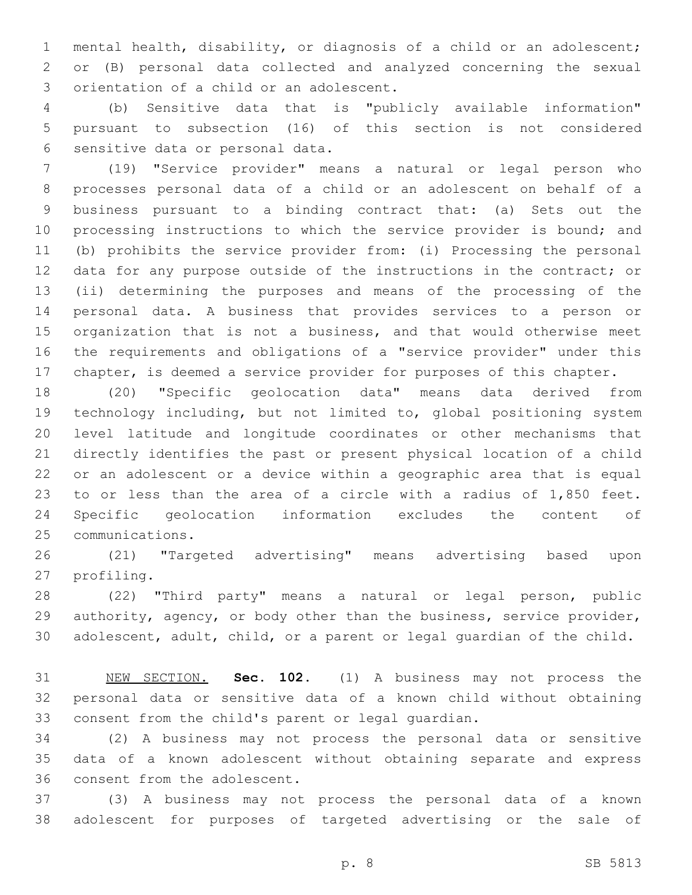mental health, disability, or diagnosis of a child or an adolescent; or (B) personal data collected and analyzed concerning the sexual 3 orientation of a child or an adolescent.

 (b) Sensitive data that is "publicly available information" pursuant to subsection (16) of this section is not considered 6 sensitive data or personal data.

 (19) "Service provider" means a natural or legal person who processes personal data of a child or an adolescent on behalf of a business pursuant to a binding contract that: (a) Sets out the 10 processing instructions to which the service provider is bound; and (b) prohibits the service provider from: (i) Processing the personal data for any purpose outside of the instructions in the contract; or (ii) determining the purposes and means of the processing of the personal data. A business that provides services to a person or organization that is not a business, and that would otherwise meet the requirements and obligations of a "service provider" under this chapter, is deemed a service provider for purposes of this chapter.

 (20) "Specific geolocation data" means data derived from technology including, but not limited to, global positioning system level latitude and longitude coordinates or other mechanisms that directly identifies the past or present physical location of a child or an adolescent or a device within a geographic area that is equal to or less than the area of a circle with a radius of 1,850 feet. Specific geolocation information excludes the content of 25 communications.

 (21) "Targeted advertising" means advertising based upon 27 profiling.

 (22) "Third party" means a natural or legal person, public 29 authority, agency, or body other than the business, service provider, adolescent, adult, child, or a parent or legal guardian of the child.

 NEW SECTION. **Sec. 102.** (1) A business may not process the personal data or sensitive data of a known child without obtaining consent from the child's parent or legal guardian.

 (2) A business may not process the personal data or sensitive data of a known adolescent without obtaining separate and express 36 consent from the adolescent.

 (3) A business may not process the personal data of a known adolescent for purposes of targeted advertising or the sale of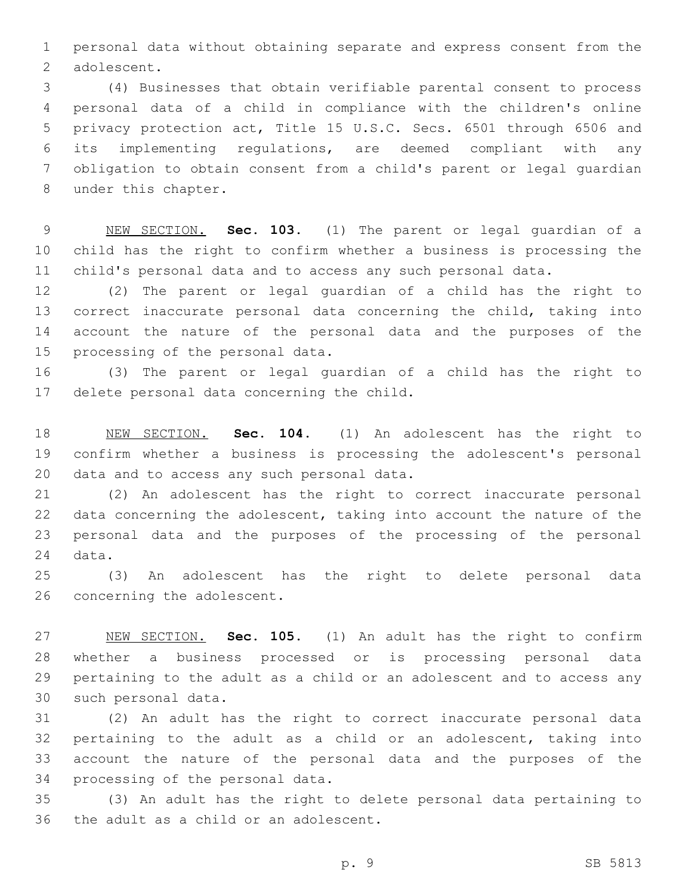personal data without obtaining separate and express consent from the 2 adolescent.

 (4) Businesses that obtain verifiable parental consent to process personal data of a child in compliance with the children's online privacy protection act, Title 15 U.S.C. Secs. 6501 through 6506 and its implementing regulations, are deemed compliant with any obligation to obtain consent from a child's parent or legal guardian 8 under this chapter.

 NEW SECTION. **Sec. 103.** (1) The parent or legal guardian of a child has the right to confirm whether a business is processing the child's personal data and to access any such personal data.

 (2) The parent or legal guardian of a child has the right to correct inaccurate personal data concerning the child, taking into account the nature of the personal data and the purposes of the 15 processing of the personal data.

 (3) The parent or legal guardian of a child has the right to 17 delete personal data concerning the child.

 NEW SECTION. **Sec. 104.** (1) An adolescent has the right to confirm whether a business is processing the adolescent's personal data and to access any such personal data.

 (2) An adolescent has the right to correct inaccurate personal data concerning the adolescent, taking into account the nature of the personal data and the purposes of the processing of the personal 24 data.

 (3) An adolescent has the right to delete personal data 26 concerning the adolescent.

 NEW SECTION. **Sec. 105.** (1) An adult has the right to confirm whether a business processed or is processing personal data pertaining to the adult as a child or an adolescent and to access any such personal data.

 (2) An adult has the right to correct inaccurate personal data pertaining to the adult as a child or an adolescent, taking into account the nature of the personal data and the purposes of the 34 processing of the personal data.

 (3) An adult has the right to delete personal data pertaining to 36 the adult as a child or an adolescent.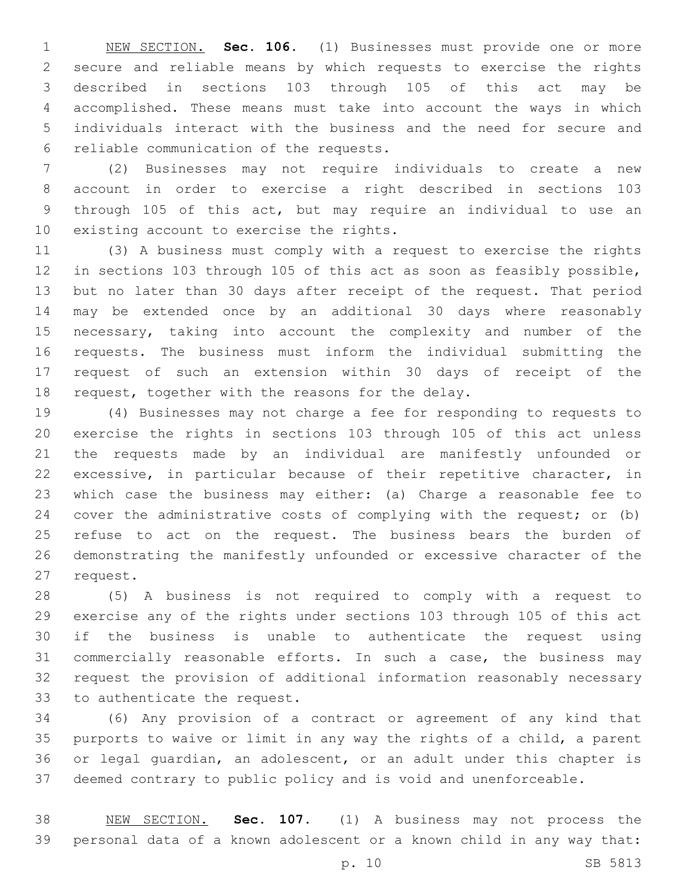NEW SECTION. **Sec. 106.** (1) Businesses must provide one or more secure and reliable means by which requests to exercise the rights described in sections 103 through 105 of this act may be accomplished. These means must take into account the ways in which individuals interact with the business and the need for secure and reliable communication of the requests.

 (2) Businesses may not require individuals to create a new account in order to exercise a right described in sections 103 through 105 of this act, but may require an individual to use an 10 existing account to exercise the rights.

 (3) A business must comply with a request to exercise the rights in sections 103 through 105 of this act as soon as feasibly possible, but no later than 30 days after receipt of the request. That period may be extended once by an additional 30 days where reasonably necessary, taking into account the complexity and number of the requests. The business must inform the individual submitting the request of such an extension within 30 days of receipt of the 18 request, together with the reasons for the delay.

 (4) Businesses may not charge a fee for responding to requests to exercise the rights in sections 103 through 105 of this act unless the requests made by an individual are manifestly unfounded or excessive, in particular because of their repetitive character, in which case the business may either: (a) Charge a reasonable fee to cover the administrative costs of complying with the request; or (b) refuse to act on the request. The business bears the burden of demonstrating the manifestly unfounded or excessive character of the 27 request.

 (5) A business is not required to comply with a request to exercise any of the rights under sections 103 through 105 of this act if the business is unable to authenticate the request using commercially reasonable efforts. In such a case, the business may request the provision of additional information reasonably necessary 33 to authenticate the request.

 (6) Any provision of a contract or agreement of any kind that purports to waive or limit in any way the rights of a child, a parent or legal guardian, an adolescent, or an adult under this chapter is deemed contrary to public policy and is void and unenforceable.

 NEW SECTION. **Sec. 107.** (1) A business may not process the personal data of a known adolescent or a known child in any way that: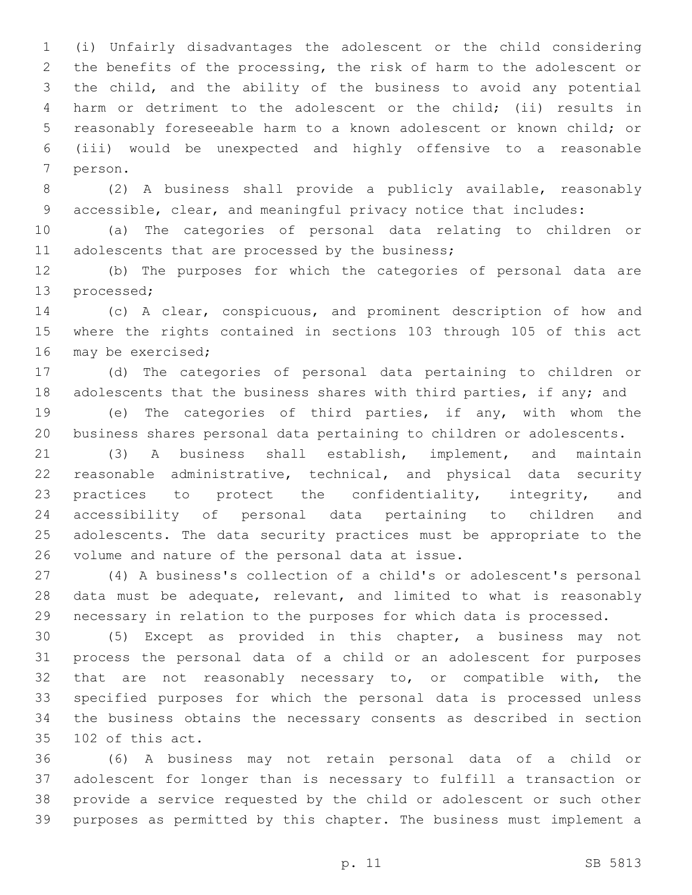(i) Unfairly disadvantages the adolescent or the child considering the benefits of the processing, the risk of harm to the adolescent or the child, and the ability of the business to avoid any potential harm or detriment to the adolescent or the child; (ii) results in reasonably foreseeable harm to a known adolescent or known child; or (iii) would be unexpected and highly offensive to a reasonable 7 person.

 (2) A business shall provide a publicly available, reasonably accessible, clear, and meaningful privacy notice that includes:

 (a) The categories of personal data relating to children or 11 adolescents that are processed by the business;

 (b) The purposes for which the categories of personal data are 13 processed;

 (c) A clear, conspicuous, and prominent description of how and where the rights contained in sections 103 through 105 of this act 16 may be exercised;

 (d) The categories of personal data pertaining to children or 18 adolescents that the business shares with third parties, if any; and

 (e) The categories of third parties, if any, with whom the business shares personal data pertaining to children or adolescents.

 (3) A business shall establish, implement, and maintain 22 reasonable administrative, technical, and physical data security 23 practices to protect the confidentiality, integrity, and accessibility of personal data pertaining to children and adolescents. The data security practices must be appropriate to the 26 volume and nature of the personal data at issue.

 (4) A business's collection of a child's or adolescent's personal 28 data must be adequate, relevant, and limited to what is reasonably necessary in relation to the purposes for which data is processed.

 (5) Except as provided in this chapter, a business may not process the personal data of a child or an adolescent for purposes that are not reasonably necessary to, or compatible with, the specified purposes for which the personal data is processed unless the business obtains the necessary consents as described in section 35 102 of this act.

 (6) A business may not retain personal data of a child or adolescent for longer than is necessary to fulfill a transaction or provide a service requested by the child or adolescent or such other purposes as permitted by this chapter. The business must implement a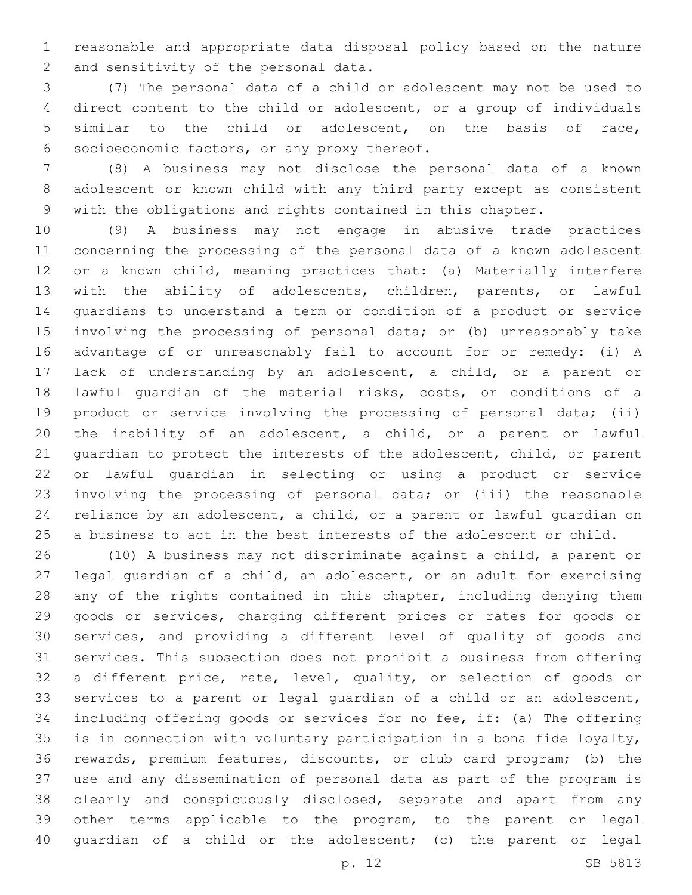reasonable and appropriate data disposal policy based on the nature 2 and sensitivity of the personal data.

 (7) The personal data of a child or adolescent may not be used to direct content to the child or adolescent, or a group of individuals similar to the child or adolescent, on the basis of race, 6 socioeconomic factors, or any proxy thereof.

 (8) A business may not disclose the personal data of a known adolescent or known child with any third party except as consistent with the obligations and rights contained in this chapter.

 (9) A business may not engage in abusive trade practices concerning the processing of the personal data of a known adolescent or a known child, meaning practices that: (a) Materially interfere with the ability of adolescents, children, parents, or lawful guardians to understand a term or condition of a product or service involving the processing of personal data; or (b) unreasonably take advantage of or unreasonably fail to account for or remedy: (i) A lack of understanding by an adolescent, a child, or a parent or lawful guardian of the material risks, costs, or conditions of a 19 product or service involving the processing of personal data; (ii) the inability of an adolescent, a child, or a parent or lawful guardian to protect the interests of the adolescent, child, or parent or lawful guardian in selecting or using a product or service involving the processing of personal data; or (iii) the reasonable reliance by an adolescent, a child, or a parent or lawful guardian on a business to act in the best interests of the adolescent or child.

 (10) A business may not discriminate against a child, a parent or legal guardian of a child, an adolescent, or an adult for exercising any of the rights contained in this chapter, including denying them goods or services, charging different prices or rates for goods or services, and providing a different level of quality of goods and services. This subsection does not prohibit a business from offering a different price, rate, level, quality, or selection of goods or services to a parent or legal guardian of a child or an adolescent, including offering goods or services for no fee, if: (a) The offering is in connection with voluntary participation in a bona fide loyalty, rewards, premium features, discounts, or club card program; (b) the use and any dissemination of personal data as part of the program is clearly and conspicuously disclosed, separate and apart from any other terms applicable to the program, to the parent or legal guardian of a child or the adolescent; (c) the parent or legal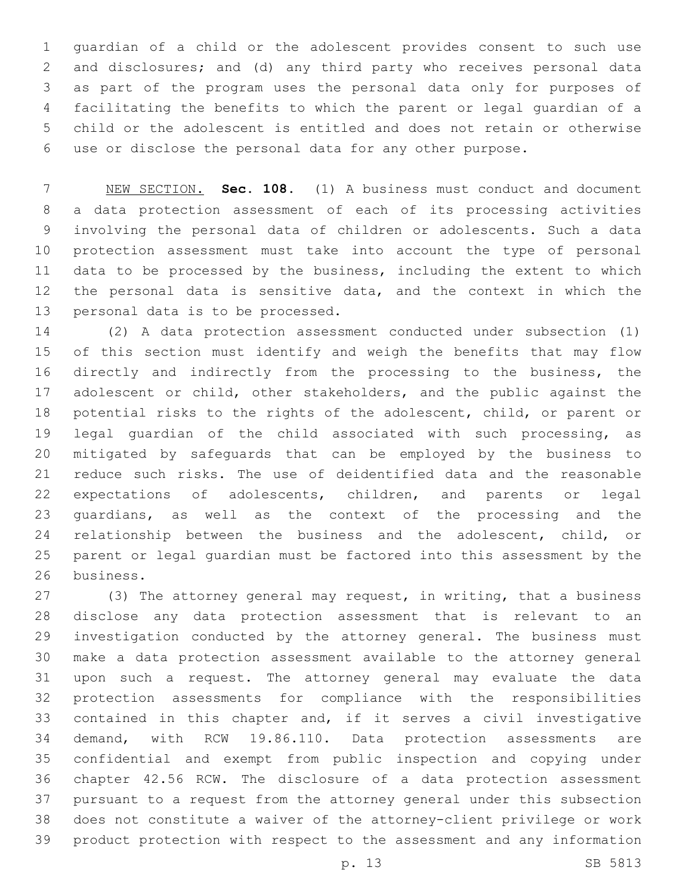guardian of a child or the adolescent provides consent to such use and disclosures; and (d) any third party who receives personal data as part of the program uses the personal data only for purposes of facilitating the benefits to which the parent or legal guardian of a child or the adolescent is entitled and does not retain or otherwise use or disclose the personal data for any other purpose.

 NEW SECTION. **Sec. 108.** (1) A business must conduct and document a data protection assessment of each of its processing activities involving the personal data of children or adolescents. Such a data protection assessment must take into account the type of personal data to be processed by the business, including the extent to which the personal data is sensitive data, and the context in which the personal data is to be processed.

 (2) A data protection assessment conducted under subsection (1) of this section must identify and weigh the benefits that may flow directly and indirectly from the processing to the business, the 17 adolescent or child, other stakeholders, and the public against the potential risks to the rights of the adolescent, child, or parent or legal guardian of the child associated with such processing, as mitigated by safeguards that can be employed by the business to reduce such risks. The use of deidentified data and the reasonable expectations of adolescents, children, and parents or legal guardians, as well as the context of the processing and the 24 relationship between the business and the adolescent, child, or parent or legal guardian must be factored into this assessment by the 26 business.

 (3) The attorney general may request, in writing, that a business disclose any data protection assessment that is relevant to an investigation conducted by the attorney general. The business must make a data protection assessment available to the attorney general upon such a request. The attorney general may evaluate the data protection assessments for compliance with the responsibilities contained in this chapter and, if it serves a civil investigative demand, with RCW 19.86.110. Data protection assessments are confidential and exempt from public inspection and copying under chapter 42.56 RCW. The disclosure of a data protection assessment pursuant to a request from the attorney general under this subsection does not constitute a waiver of the attorney-client privilege or work product protection with respect to the assessment and any information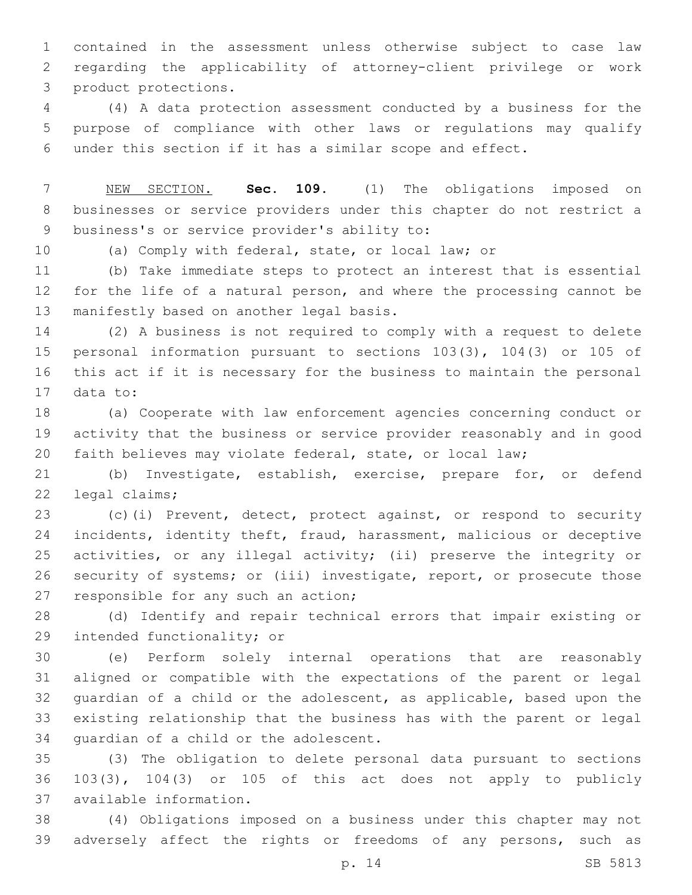contained in the assessment unless otherwise subject to case law regarding the applicability of attorney-client privilege or work 3 product protections.

 (4) A data protection assessment conducted by a business for the purpose of compliance with other laws or regulations may qualify under this section if it has a similar scope and effect.

 NEW SECTION. **Sec. 109.** (1) The obligations imposed on businesses or service providers under this chapter do not restrict a business's or service provider's ability to:

(a) Comply with federal, state, or local law; or

 (b) Take immediate steps to protect an interest that is essential for the life of a natural person, and where the processing cannot be 13 manifestly based on another legal basis.

 (2) A business is not required to comply with a request to delete personal information pursuant to sections 103(3), 104(3) or 105 of this act if it is necessary for the business to maintain the personal 17 data to:

 (a) Cooperate with law enforcement agencies concerning conduct or activity that the business or service provider reasonably and in good faith believes may violate federal, state, or local law;

 (b) Investigate, establish, exercise, prepare for, or defend 22 legal claims;

 (c)(i) Prevent, detect, protect against, or respond to security incidents, identity theft, fraud, harassment, malicious or deceptive activities, or any illegal activity; (ii) preserve the integrity or security of systems; or (iii) investigate, report, or prosecute those 27 responsible for any such an action;

 (d) Identify and repair technical errors that impair existing or 29 intended functionality; or

 (e) Perform solely internal operations that are reasonably aligned or compatible with the expectations of the parent or legal guardian of a child or the adolescent, as applicable, based upon the existing relationship that the business has with the parent or legal 34 quardian of a child or the adolescent.

 (3) The obligation to delete personal data pursuant to sections 103(3), 104(3) or 105 of this act does not apply to publicly available information.37

 (4) Obligations imposed on a business under this chapter may not adversely affect the rights or freedoms of any persons, such as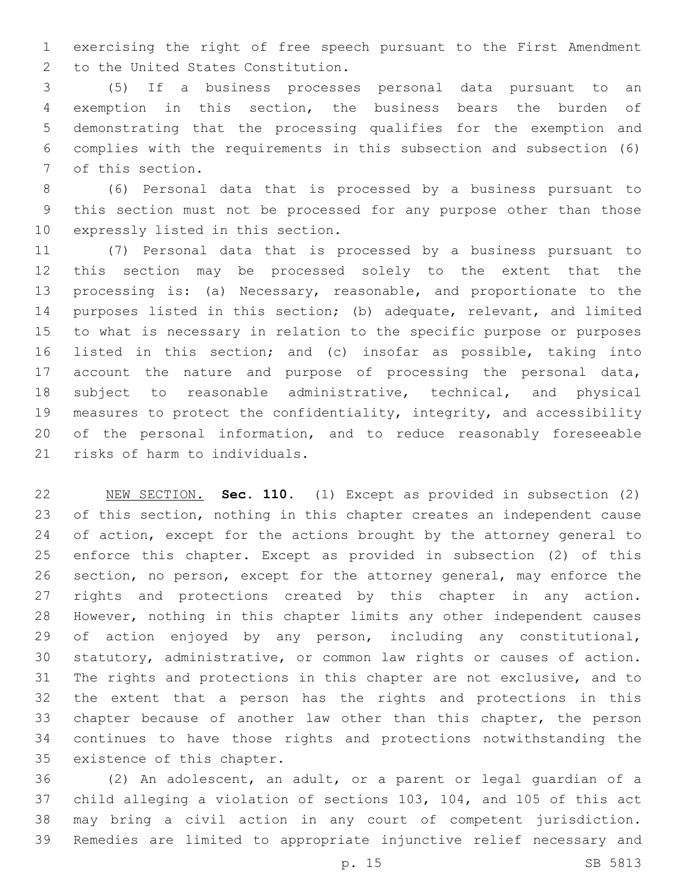exercising the right of free speech pursuant to the First Amendment 2 to the United States Constitution.

 (5) If a business processes personal data pursuant to an exemption in this section, the business bears the burden of demonstrating that the processing qualifies for the exemption and complies with the requirements in this subsection and subsection (6) 7 of this section.

 (6) Personal data that is processed by a business pursuant to this section must not be processed for any purpose other than those 10 expressly listed in this section.

 (7) Personal data that is processed by a business pursuant to this section may be processed solely to the extent that the processing is: (a) Necessary, reasonable, and proportionate to the purposes listed in this section; (b) adequate, relevant, and limited to what is necessary in relation to the specific purpose or purposes listed in this section; and (c) insofar as possible, taking into account the nature and purpose of processing the personal data, subject to reasonable administrative, technical, and physical measures to protect the confidentiality, integrity, and accessibility of the personal information, and to reduce reasonably foreseeable 21 risks of harm to individuals.

 NEW SECTION. **Sec. 110.** (1) Except as provided in subsection (2) of this section, nothing in this chapter creates an independent cause 24 of action, except for the actions brought by the attorney general to enforce this chapter. Except as provided in subsection (2) of this section, no person, except for the attorney general, may enforce the rights and protections created by this chapter in any action. However, nothing in this chapter limits any other independent causes of action enjoyed by any person, including any constitutional, statutory, administrative, or common law rights or causes of action. The rights and protections in this chapter are not exclusive, and to the extent that a person has the rights and protections in this chapter because of another law other than this chapter, the person continues to have those rights and protections notwithstanding the existence of this chapter.

 (2) An adolescent, an adult, or a parent or legal guardian of a child alleging a violation of sections 103, 104, and 105 of this act may bring a civil action in any court of competent jurisdiction. Remedies are limited to appropriate injunctive relief necessary and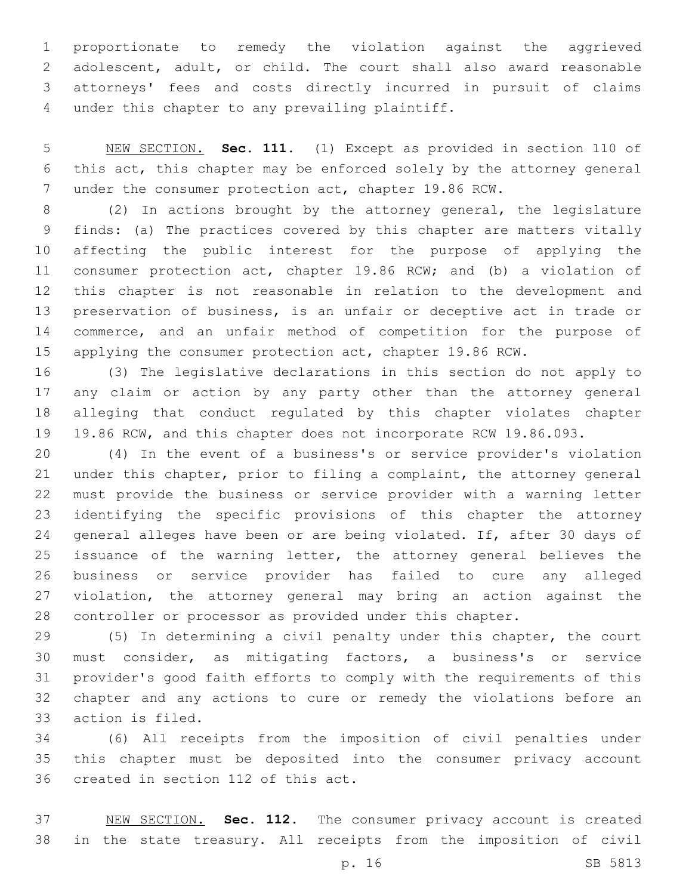proportionate to remedy the violation against the aggrieved adolescent, adult, or child. The court shall also award reasonable attorneys' fees and costs directly incurred in pursuit of claims 4 under this chapter to any prevailing plaintiff.

 NEW SECTION. **Sec. 111.** (1) Except as provided in section 110 of this act, this chapter may be enforced solely by the attorney general under the consumer protection act, chapter 19.86 RCW.

 (2) In actions brought by the attorney general, the legislature finds: (a) The practices covered by this chapter are matters vitally affecting the public interest for the purpose of applying the consumer protection act, chapter 19.86 RCW; and (b) a violation of this chapter is not reasonable in relation to the development and preservation of business, is an unfair or deceptive act in trade or commerce, and an unfair method of competition for the purpose of applying the consumer protection act, chapter 19.86 RCW.

 (3) The legislative declarations in this section do not apply to any claim or action by any party other than the attorney general alleging that conduct regulated by this chapter violates chapter 19.86 RCW, and this chapter does not incorporate RCW 19.86.093.

 (4) In the event of a business's or service provider's violation under this chapter, prior to filing a complaint, the attorney general must provide the business or service provider with a warning letter identifying the specific provisions of this chapter the attorney general alleges have been or are being violated. If, after 30 days of issuance of the warning letter, the attorney general believes the business or service provider has failed to cure any alleged violation, the attorney general may bring an action against the controller or processor as provided under this chapter.

 (5) In determining a civil penalty under this chapter, the court must consider, as mitigating factors, a business's or service provider's good faith efforts to comply with the requirements of this chapter and any actions to cure or remedy the violations before an 33 action is filed.

 (6) All receipts from the imposition of civil penalties under this chapter must be deposited into the consumer privacy account 36 created in section 112 of this act.

 NEW SECTION. **Sec. 112.** The consumer privacy account is created in the state treasury. All receipts from the imposition of civil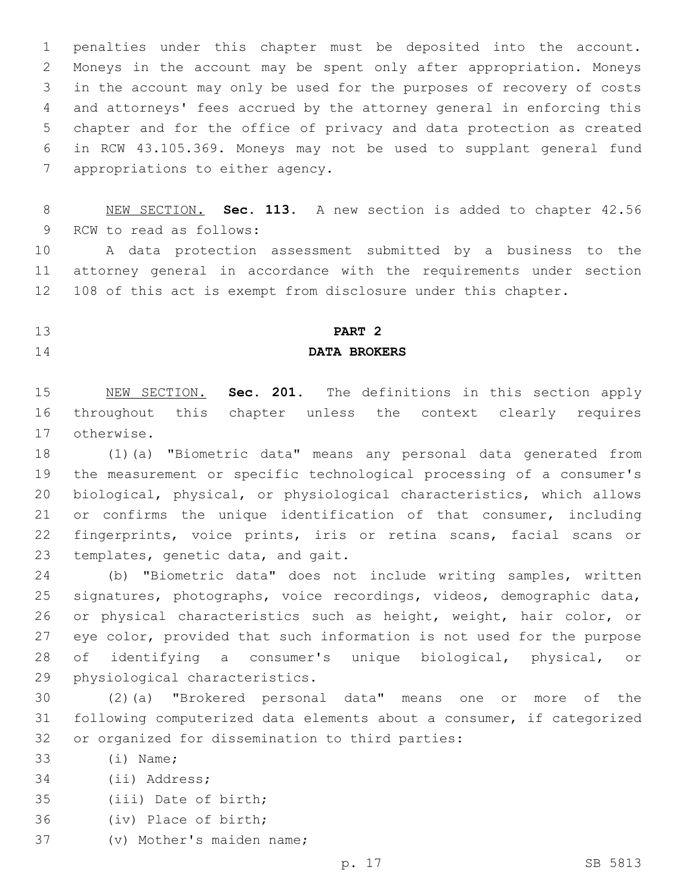penalties under this chapter must be deposited into the account. Moneys in the account may be spent only after appropriation. Moneys in the account may only be used for the purposes of recovery of costs and attorneys' fees accrued by the attorney general in enforcing this chapter and for the office of privacy and data protection as created in RCW 43.105.369. Moneys may not be used to supplant general fund 7 appropriations to either agency.

 NEW SECTION. **Sec. 113.** A new section is added to chapter 42.56 9 RCW to read as follows:

 A data protection assessment submitted by a business to the attorney general in accordance with the requirements under section 108 of this act is exempt from disclosure under this chapter.

## **PART 2**

## **DATA BROKERS**

 NEW SECTION. **Sec. 201.** The definitions in this section apply throughout this chapter unless the context clearly requires otherwise.

 (1)(a) "Biometric data" means any personal data generated from the measurement or specific technological processing of a consumer's biological, physical, or physiological characteristics, which allows or confirms the unique identification of that consumer, including fingerprints, voice prints, iris or retina scans, facial scans or 23 templates, genetic data, and gait.

 (b) "Biometric data" does not include writing samples, written signatures, photographs, voice recordings, videos, demographic data, or physical characteristics such as height, weight, hair color, or eye color, provided that such information is not used for the purpose of identifying a consumer's unique biological, physical, or 29 physiological characteristics.

 (2)(a) "Brokered personal data" means one or more of the following computerized data elements about a consumer, if categorized 32 or organized for dissemination to third parties:

- 33 (i) Name;
- 34 (ii) Address;
- 35 (iii) Date of birth;
- 36 (iv) Place of birth;
- 37 (v) Mother's maiden name;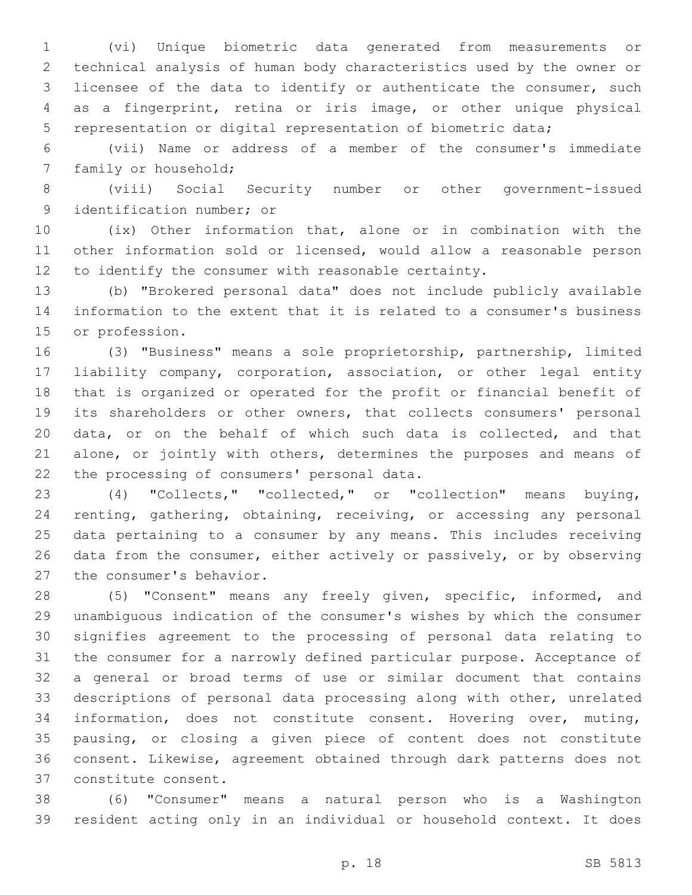(vi) Unique biometric data generated from measurements or technical analysis of human body characteristics used by the owner or licensee of the data to identify or authenticate the consumer, such as a fingerprint, retina or iris image, or other unique physical representation or digital representation of biometric data;

 (vii) Name or address of a member of the consumer's immediate 7 family or household;

 (viii) Social Security number or other government-issued 9 identification number; or

 (ix) Other information that, alone or in combination with the other information sold or licensed, would allow a reasonable person to identify the consumer with reasonable certainty.

 (b) "Brokered personal data" does not include publicly available information to the extent that it is related to a consumer's business 15 or profession.

 (3) "Business" means a sole proprietorship, partnership, limited liability company, corporation, association, or other legal entity that is organized or operated for the profit or financial benefit of its shareholders or other owners, that collects consumers' personal data, or on the behalf of which such data is collected, and that 21 alone, or jointly with others, determines the purposes and means of 22 the processing of consumers' personal data.

 (4) "Collects," "collected," or "collection" means buying, renting, gathering, obtaining, receiving, or accessing any personal data pertaining to a consumer by any means. This includes receiving data from the consumer, either actively or passively, or by observing 27 the consumer's behavior.

 (5) "Consent" means any freely given, specific, informed, and unambiguous indication of the consumer's wishes by which the consumer signifies agreement to the processing of personal data relating to the consumer for a narrowly defined particular purpose. Acceptance of a general or broad terms of use or similar document that contains descriptions of personal data processing along with other, unrelated information, does not constitute consent. Hovering over, muting, pausing, or closing a given piece of content does not constitute consent. Likewise, agreement obtained through dark patterns does not constitute consent.37

 (6) "Consumer" means a natural person who is a Washington resident acting only in an individual or household context. It does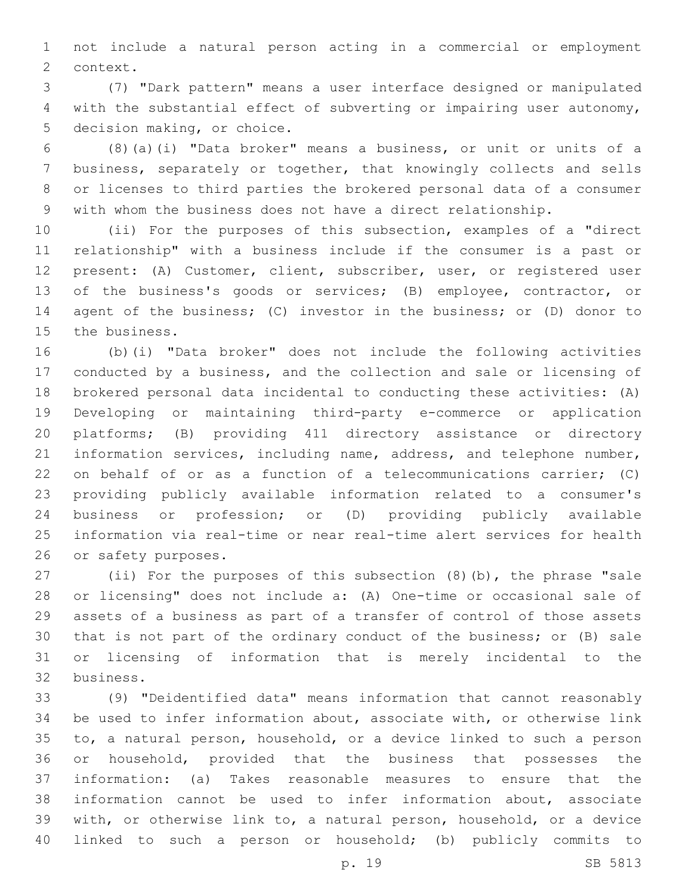not include a natural person acting in a commercial or employment 2 context.

 (7) "Dark pattern" means a user interface designed or manipulated with the substantial effect of subverting or impairing user autonomy, 5 decision making, or choice.

 (8)(a)(i) "Data broker" means a business, or unit or units of a business, separately or together, that knowingly collects and sells or licenses to third parties the brokered personal data of a consumer with whom the business does not have a direct relationship.

 (ii) For the purposes of this subsection, examples of a "direct relationship" with a business include if the consumer is a past or present: (A) Customer, client, subscriber, user, or registered user of the business's goods or services; (B) employee, contractor, or agent of the business; (C) investor in the business; or (D) donor to 15 the business.

 (b)(i) "Data broker" does not include the following activities conducted by a business, and the collection and sale or licensing of brokered personal data incidental to conducting these activities: (A) Developing or maintaining third-party e-commerce or application platforms; (B) providing 411 directory assistance or directory information services, including name, address, and telephone number, on behalf of or as a function of a telecommunications carrier; (C) providing publicly available information related to a consumer's business or profession; or (D) providing publicly available information via real-time or near real-time alert services for health 26 or safety purposes.

 (ii) For the purposes of this subsection (8)(b), the phrase "sale or licensing" does not include a: (A) One-time or occasional sale of assets of a business as part of a transfer of control of those assets that is not part of the ordinary conduct of the business; or (B) sale or licensing of information that is merely incidental to the business.32

 (9) "Deidentified data" means information that cannot reasonably be used to infer information about, associate with, or otherwise link to, a natural person, household, or a device linked to such a person or household, provided that the business that possesses the information: (a) Takes reasonable measures to ensure that the information cannot be used to infer information about, associate with, or otherwise link to, a natural person, household, or a device linked to such a person or household; (b) publicly commits to

p. 19 SB 5813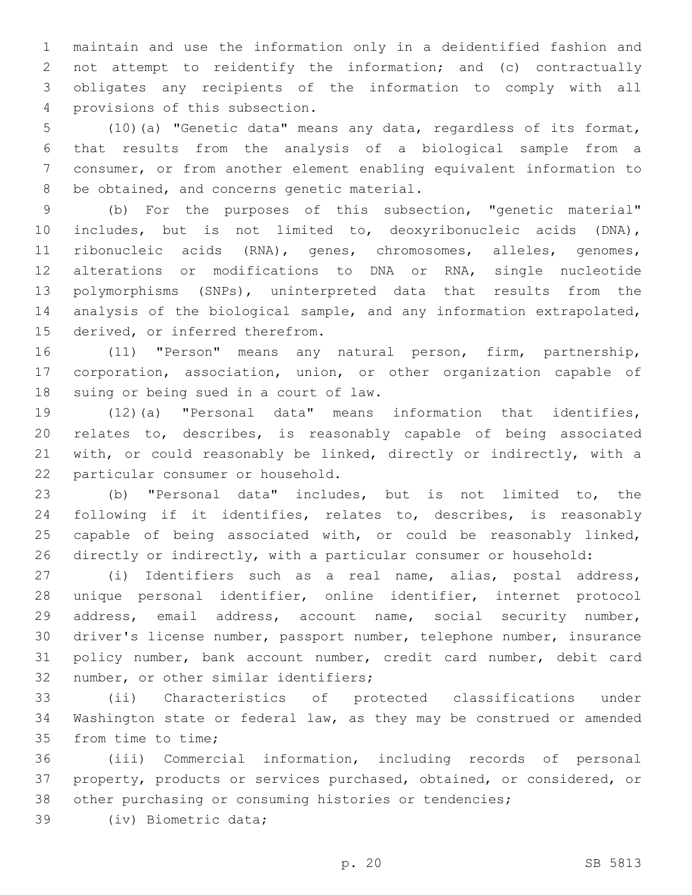maintain and use the information only in a deidentified fashion and not attempt to reidentify the information; and (c) contractually obligates any recipients of the information to comply with all 4 provisions of this subsection.

 (10)(a) "Genetic data" means any data, regardless of its format, that results from the analysis of a biological sample from a consumer, or from another element enabling equivalent information to 8 be obtained, and concerns genetic material.

 (b) For the purposes of this subsection, "genetic material" includes, but is not limited to, deoxyribonucleic acids (DNA), ribonucleic acids (RNA), genes, chromosomes, alleles, genomes, alterations or modifications to DNA or RNA, single nucleotide polymorphisms (SNPs), uninterpreted data that results from the analysis of the biological sample, and any information extrapolated, 15 derived, or inferred therefrom.

 (11) "Person" means any natural person, firm, partnership, corporation, association, union, or other organization capable of 18 suing or being sued in a court of law.

 (12)(a) "Personal data" means information that identifies, relates to, describes, is reasonably capable of being associated with, or could reasonably be linked, directly or indirectly, with a 22 particular consumer or household.

 (b) "Personal data" includes, but is not limited to, the following if it identifies, relates to, describes, is reasonably capable of being associated with, or could be reasonably linked, directly or indirectly, with a particular consumer or household:

 (i) Identifiers such as a real name, alias, postal address, unique personal identifier, online identifier, internet protocol address, email address, account name, social security number, driver's license number, passport number, telephone number, insurance policy number, bank account number, credit card number, debit card 32 number, or other similar identifiers;

 (ii) Characteristics of protected classifications under Washington state or federal law, as they may be construed or amended 35 from time to time;

 (iii) Commercial information, including records of personal property, products or services purchased, obtained, or considered, or other purchasing or consuming histories or tendencies;

39 (iv) Biometric data;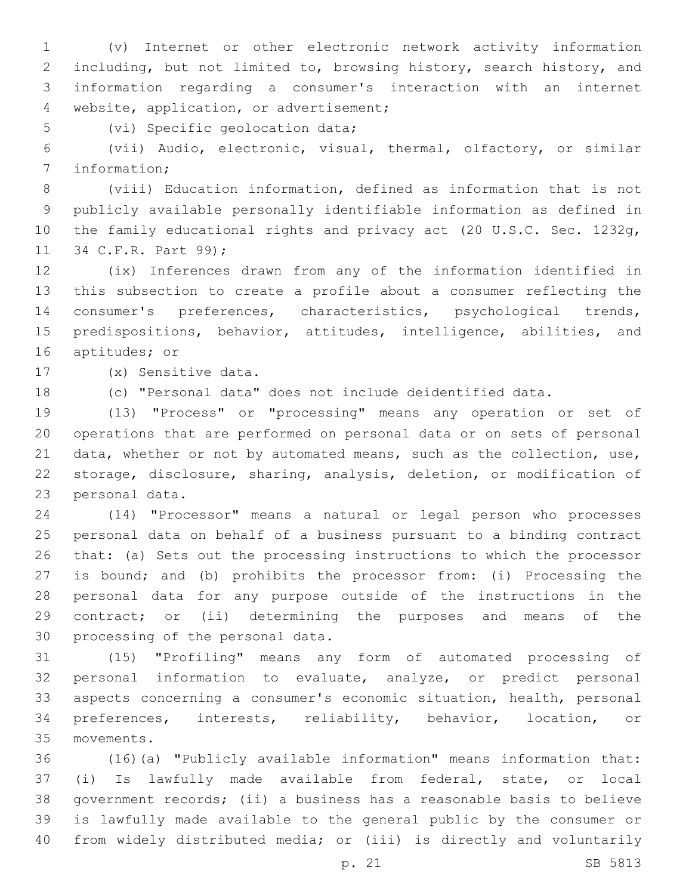(v) Internet or other electronic network activity information including, but not limited to, browsing history, search history, and information regarding a consumer's interaction with an internet 4 website, application, or advertisement;

5 (vi) Specific geolocation data;

 (vii) Audio, electronic, visual, thermal, olfactory, or similar 7 information;

 (viii) Education information, defined as information that is not publicly available personally identifiable information as defined in the family educational rights and privacy act (20 U.S.C. Sec. 1232g, 11 34 C.F.R. Part 99);

 (ix) Inferences drawn from any of the information identified in this subsection to create a profile about a consumer reflecting the consumer's preferences, characteristics, psychological trends, 15 predispositions, behavior, attitudes, intelligence, abilities, and 16 aptitudes; or

(x) Sensitive data.17

(c) "Personal data" does not include deidentified data.

 (13) "Process" or "processing" means any operation or set of operations that are performed on personal data or on sets of personal 21 data, whether or not by automated means, such as the collection, use, storage, disclosure, sharing, analysis, deletion, or modification of 23 personal data.

 (14) "Processor" means a natural or legal person who processes personal data on behalf of a business pursuant to a binding contract that: (a) Sets out the processing instructions to which the processor is bound; and (b) prohibits the processor from: (i) Processing the personal data for any purpose outside of the instructions in the contract; or (ii) determining the purposes and means of the 30 processing of the personal data.

 (15) "Profiling" means any form of automated processing of personal information to evaluate, analyze, or predict personal aspects concerning a consumer's economic situation, health, personal preferences, interests, reliability, behavior, location, or movements.35

 (16)(a) "Publicly available information" means information that: (i) Is lawfully made available from federal, state, or local government records; (ii) a business has a reasonable basis to believe is lawfully made available to the general public by the consumer or from widely distributed media; or (iii) is directly and voluntarily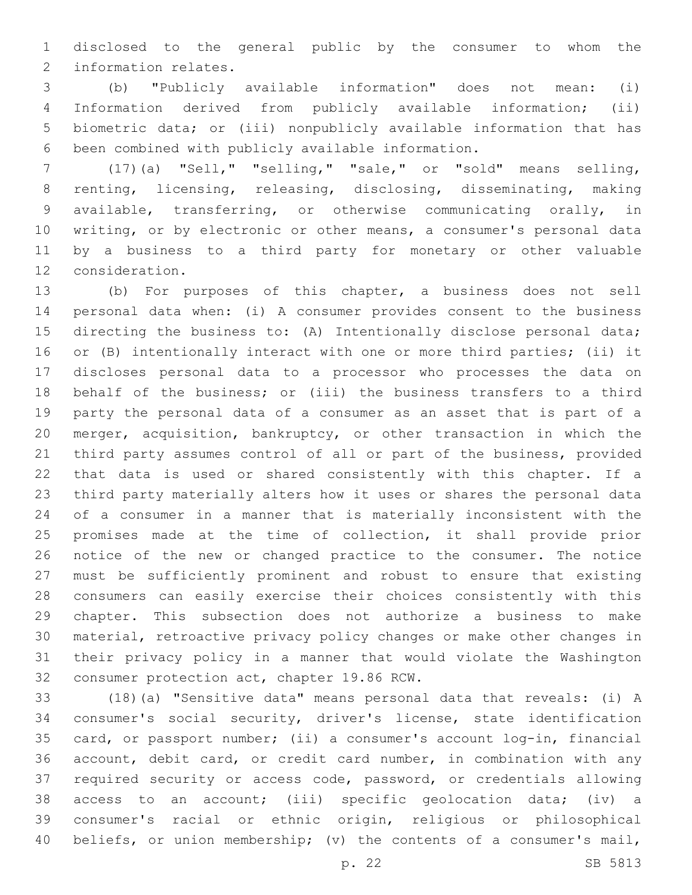disclosed to the general public by the consumer to whom the 2 information relates.

 (b) "Publicly available information" does not mean: (i) Information derived from publicly available information; (ii) biometric data; or (iii) nonpublicly available information that has 6 been combined with publicly available information.

 (17)(a) "Sell," "selling," "sale," or "sold" means selling, renting, licensing, releasing, disclosing, disseminating, making available, transferring, or otherwise communicating orally, in writing, or by electronic or other means, a consumer's personal data by a business to a third party for monetary or other valuable 12 consideration.

 (b) For purposes of this chapter, a business does not sell personal data when: (i) A consumer provides consent to the business directing the business to: (A) Intentionally disclose personal data; or (B) intentionally interact with one or more third parties; (ii) it discloses personal data to a processor who processes the data on behalf of the business; or (iii) the business transfers to a third party the personal data of a consumer as an asset that is part of a merger, acquisition, bankruptcy, or other transaction in which the third party assumes control of all or part of the business, provided that data is used or shared consistently with this chapter. If a third party materially alters how it uses or shares the personal data of a consumer in a manner that is materially inconsistent with the promises made at the time of collection, it shall provide prior notice of the new or changed practice to the consumer. The notice must be sufficiently prominent and robust to ensure that existing consumers can easily exercise their choices consistently with this chapter. This subsection does not authorize a business to make material, retroactive privacy policy changes or make other changes in their privacy policy in a manner that would violate the Washington 32 consumer protection act, chapter 19.86 RCW.

 (18)(a) "Sensitive data" means personal data that reveals: (i) A consumer's social security, driver's license, state identification card, or passport number; (ii) a consumer's account log-in, financial account, debit card, or credit card number, in combination with any required security or access code, password, or credentials allowing access to an account; (iii) specific geolocation data; (iv) a consumer's racial or ethnic origin, religious or philosophical beliefs, or union membership; (v) the contents of a consumer's mail,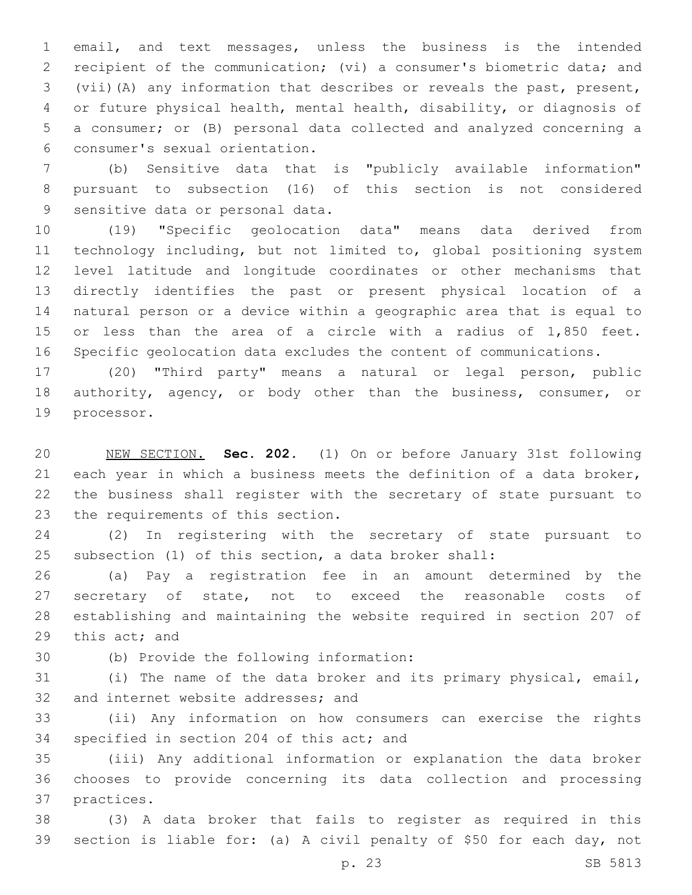email, and text messages, unless the business is the intended recipient of the communication; (vi) a consumer's biometric data; and (vii)(A) any information that describes or reveals the past, present, or future physical health, mental health, disability, or diagnosis of a consumer; or (B) personal data collected and analyzed concerning a consumer's sexual orientation.6

 (b) Sensitive data that is "publicly available information" pursuant to subsection (16) of this section is not considered 9 sensitive data or personal data.

 (19) "Specific geolocation data" means data derived from technology including, but not limited to, global positioning system level latitude and longitude coordinates or other mechanisms that directly identifies the past or present physical location of a natural person or a device within a geographic area that is equal to or less than the area of a circle with a radius of 1,850 feet. Specific geolocation data excludes the content of communications.

 (20) "Third party" means a natural or legal person, public authority, agency, or body other than the business, consumer, or 19 processor.

 NEW SECTION. **Sec. 202.** (1) On or before January 31st following each year in which a business meets the definition of a data broker, the business shall register with the secretary of state pursuant to the requirements of this section.

 (2) In registering with the secretary of state pursuant to subsection (1) of this section, a data broker shall:

 (a) Pay a registration fee in an amount determined by the 27 secretary of state, not to exceed the reasonable costs of establishing and maintaining the website required in section 207 of 29 this act; and

(b) Provide the following information:30

 (i) The name of the data broker and its primary physical, email, 32 and internet website addresses; and

 (ii) Any information on how consumers can exercise the rights 34 specified in section 204 of this act; and

 (iii) Any additional information or explanation the data broker chooses to provide concerning its data collection and processing 37 practices.

 (3) A data broker that fails to register as required in this section is liable for: (a) A civil penalty of \$50 for each day, not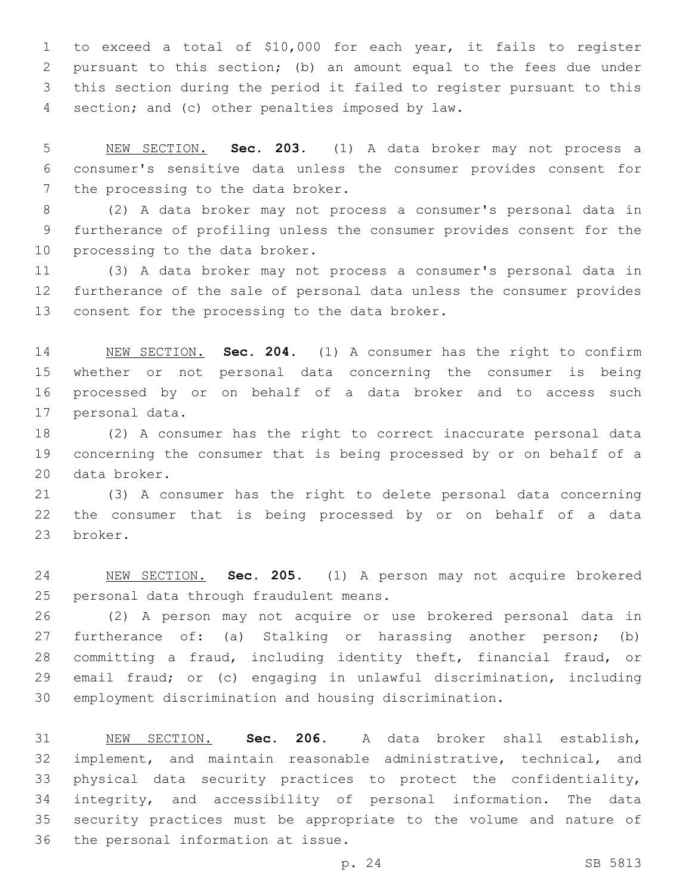to exceed a total of \$10,000 for each year, it fails to register pursuant to this section; (b) an amount equal to the fees due under this section during the period it failed to register pursuant to this 4 section; and (c) other penalties imposed by law.

 NEW SECTION. **Sec. 203.** (1) A data broker may not process a consumer's sensitive data unless the consumer provides consent for the processing to the data broker.

 (2) A data broker may not process a consumer's personal data in furtherance of profiling unless the consumer provides consent for the 10 processing to the data broker.

 (3) A data broker may not process a consumer's personal data in furtherance of the sale of personal data unless the consumer provides 13 consent for the processing to the data broker.

 NEW SECTION. **Sec. 204.** (1) A consumer has the right to confirm whether or not personal data concerning the consumer is being processed by or on behalf of a data broker and to access such personal data.

 (2) A consumer has the right to correct inaccurate personal data concerning the consumer that is being processed by or on behalf of a 20 data broker.

 (3) A consumer has the right to delete personal data concerning the consumer that is being processed by or on behalf of a data 23 broker.

 NEW SECTION. **Sec. 205.** (1) A person may not acquire brokered personal data through fraudulent means.

 (2) A person may not acquire or use brokered personal data in furtherance of: (a) Stalking or harassing another person; (b) committing a fraud, including identity theft, financial fraud, or email fraud; or (c) engaging in unlawful discrimination, including employment discrimination and housing discrimination.

 NEW SECTION. **Sec. 206.** A data broker shall establish, implement, and maintain reasonable administrative, technical, and physical data security practices to protect the confidentiality, integrity, and accessibility of personal information. The data security practices must be appropriate to the volume and nature of the personal information at issue.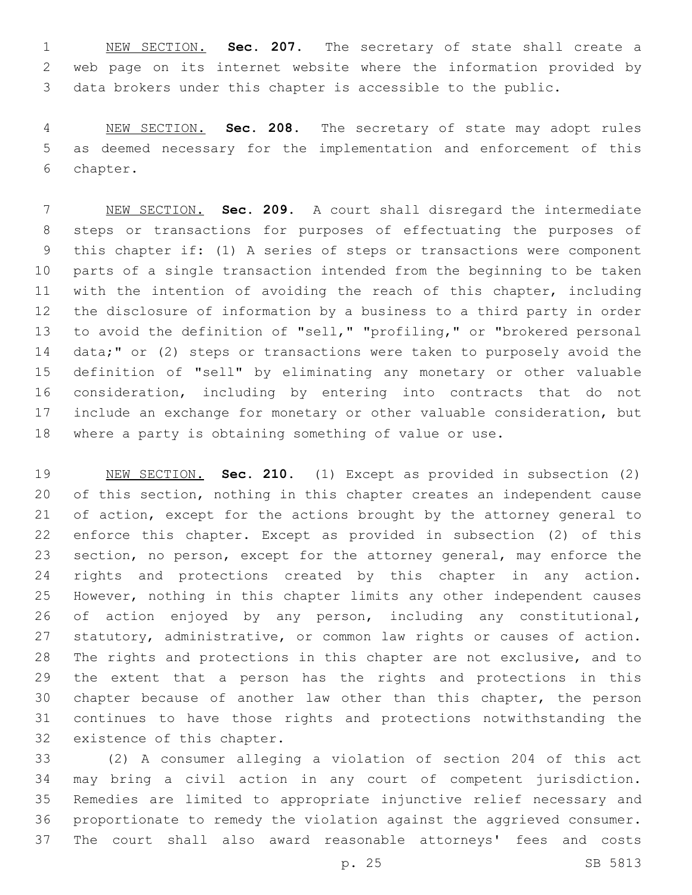NEW SECTION. **Sec. 207.** The secretary of state shall create a web page on its internet website where the information provided by data brokers under this chapter is accessible to the public.

 NEW SECTION. **Sec. 208.** The secretary of state may adopt rules as deemed necessary for the implementation and enforcement of this chapter.

 NEW SECTION. **Sec. 209.** A court shall disregard the intermediate steps or transactions for purposes of effectuating the purposes of this chapter if: (1) A series of steps or transactions were component parts of a single transaction intended from the beginning to be taken 11 with the intention of avoiding the reach of this chapter, including the disclosure of information by a business to a third party in order to avoid the definition of "sell," "profiling," or "brokered personal data;" or (2) steps or transactions were taken to purposely avoid the definition of "sell" by eliminating any monetary or other valuable consideration, including by entering into contracts that do not include an exchange for monetary or other valuable consideration, but where a party is obtaining something of value or use.

 NEW SECTION. **Sec. 210.** (1) Except as provided in subsection (2) of this section, nothing in this chapter creates an independent cause of action, except for the actions brought by the attorney general to enforce this chapter. Except as provided in subsection (2) of this 23 section, no person, except for the attorney general, may enforce the rights and protections created by this chapter in any action. However, nothing in this chapter limits any other independent causes of action enjoyed by any person, including any constitutional, statutory, administrative, or common law rights or causes of action. The rights and protections in this chapter are not exclusive, and to the extent that a person has the rights and protections in this chapter because of another law other than this chapter, the person continues to have those rights and protections notwithstanding the existence of this chapter.

 (2) A consumer alleging a violation of section 204 of this act may bring a civil action in any court of competent jurisdiction. Remedies are limited to appropriate injunctive relief necessary and proportionate to remedy the violation against the aggrieved consumer. The court shall also award reasonable attorneys' fees and costs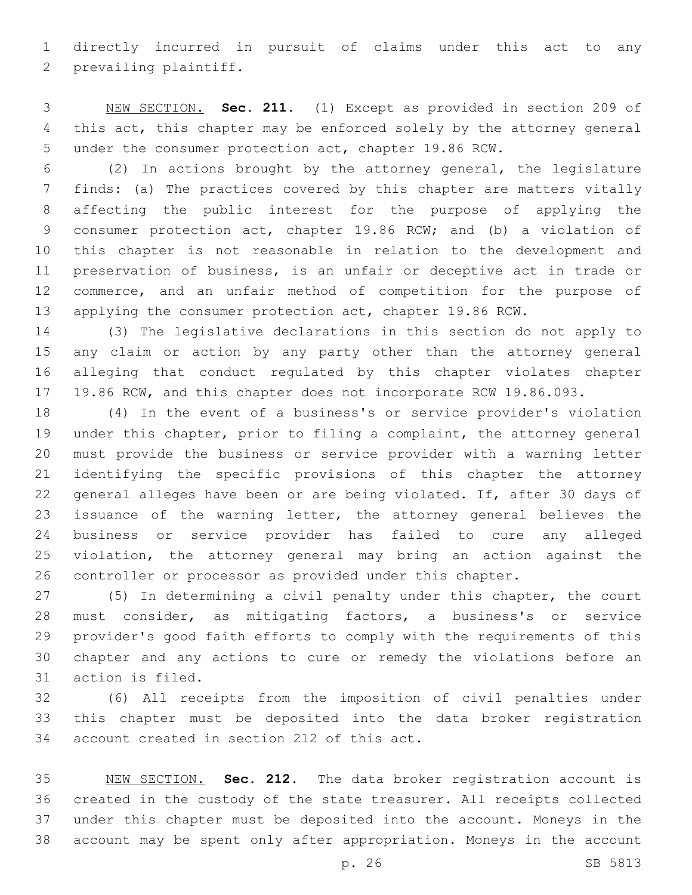directly incurred in pursuit of claims under this act to any 2 prevailing plaintiff.

 NEW SECTION. **Sec. 211.** (1) Except as provided in section 209 of this act, this chapter may be enforced solely by the attorney general under the consumer protection act, chapter 19.86 RCW.

 (2) In actions brought by the attorney general, the legislature finds: (a) The practices covered by this chapter are matters vitally affecting the public interest for the purpose of applying the consumer protection act, chapter 19.86 RCW; and (b) a violation of this chapter is not reasonable in relation to the development and preservation of business, is an unfair or deceptive act in trade or commerce, and an unfair method of competition for the purpose of applying the consumer protection act, chapter 19.86 RCW.

 (3) The legislative declarations in this section do not apply to any claim or action by any party other than the attorney general alleging that conduct regulated by this chapter violates chapter 19.86 RCW, and this chapter does not incorporate RCW 19.86.093.

 (4) In the event of a business's or service provider's violation under this chapter, prior to filing a complaint, the attorney general must provide the business or service provider with a warning letter identifying the specific provisions of this chapter the attorney general alleges have been or are being violated. If, after 30 days of issuance of the warning letter, the attorney general believes the business or service provider has failed to cure any alleged violation, the attorney general may bring an action against the controller or processor as provided under this chapter.

 (5) In determining a civil penalty under this chapter, the court must consider, as mitigating factors, a business's or service provider's good faith efforts to comply with the requirements of this chapter and any actions to cure or remedy the violations before an 31 action is filed.

 (6) All receipts from the imposition of civil penalties under this chapter must be deposited into the data broker registration 34 account created in section 212 of this act.

 NEW SECTION. **Sec. 212.** The data broker registration account is created in the custody of the state treasurer. All receipts collected under this chapter must be deposited into the account. Moneys in the account may be spent only after appropriation. Moneys in the account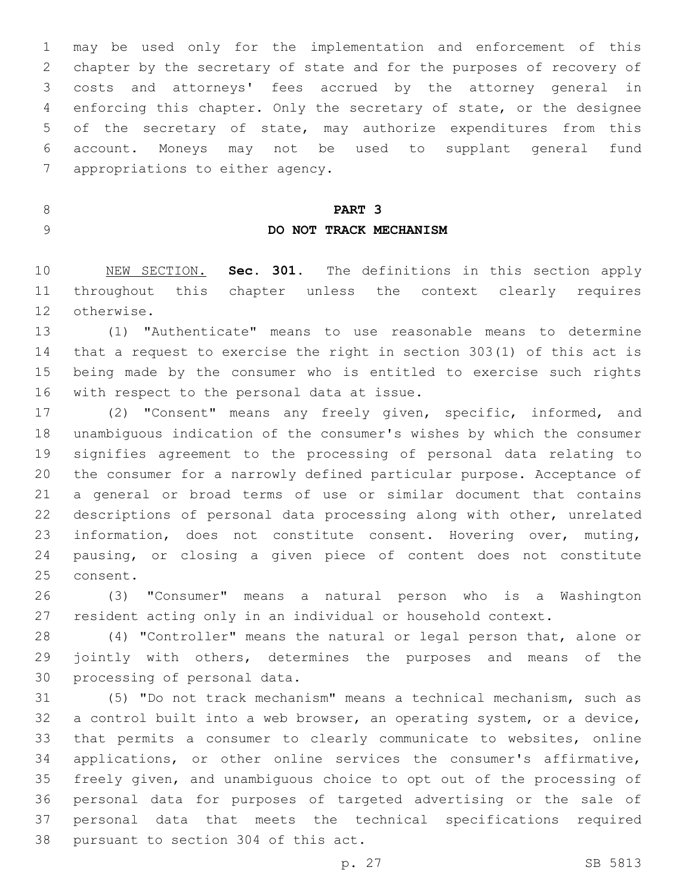may be used only for the implementation and enforcement of this chapter by the secretary of state and for the purposes of recovery of costs and attorneys' fees accrued by the attorney general in enforcing this chapter. Only the secretary of state, or the designee of the secretary of state, may authorize expenditures from this account. Moneys may not be used to supplant general fund 7 appropriations to either agency.

## **PART 3 DO NOT TRACK MECHANISM**

 NEW SECTION. **Sec. 301.** The definitions in this section apply throughout this chapter unless the context clearly requires otherwise.

 (1) "Authenticate" means to use reasonable means to determine that a request to exercise the right in section 303(1) of this act is being made by the consumer who is entitled to exercise such rights 16 with respect to the personal data at issue.

 (2) "Consent" means any freely given, specific, informed, and unambiguous indication of the consumer's wishes by which the consumer signifies agreement to the processing of personal data relating to the consumer for a narrowly defined particular purpose. Acceptance of a general or broad terms of use or similar document that contains descriptions of personal data processing along with other, unrelated 23 information, does not constitute consent. Hovering over, muting, pausing, or closing a given piece of content does not constitute 25 consent.

 (3) "Consumer" means a natural person who is a Washington resident acting only in an individual or household context.

 (4) "Controller" means the natural or legal person that, alone or jointly with others, determines the purposes and means of the 30 processing of personal data.

 (5) "Do not track mechanism" means a technical mechanism, such as a control built into a web browser, an operating system, or a device, that permits a consumer to clearly communicate to websites, online applications, or other online services the consumer's affirmative, freely given, and unambiguous choice to opt out of the processing of personal data for purposes of targeted advertising or the sale of personal data that meets the technical specifications required 38 pursuant to section 304 of this act.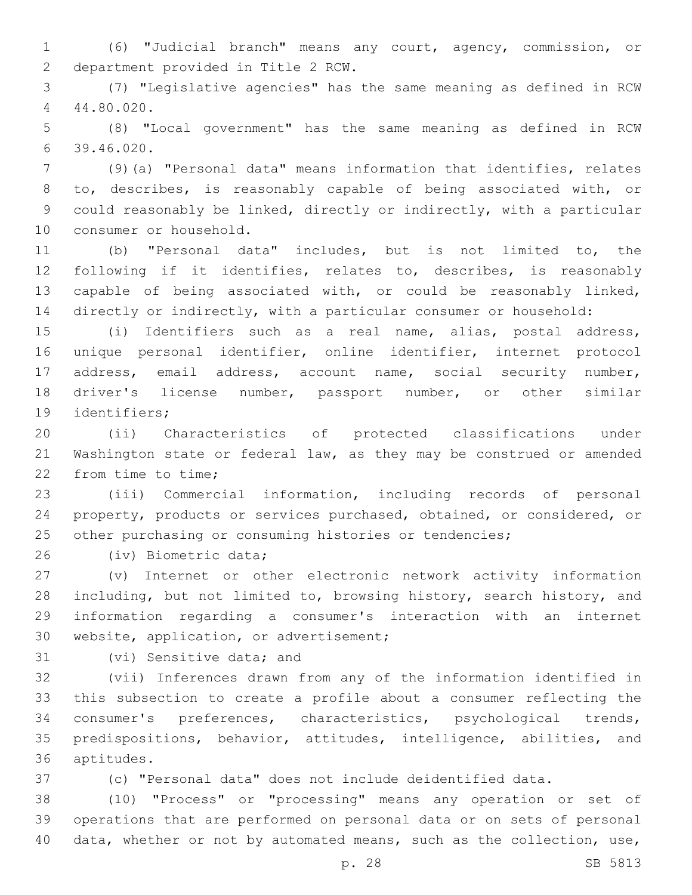(6) "Judicial branch" means any court, agency, commission, or 2 department provided in Title 2 RCW.

 (7) "Legislative agencies" has the same meaning as defined in RCW 44.80.020.4

 (8) "Local government" has the same meaning as defined in RCW 39.46.020.6

 (9)(a) "Personal data" means information that identifies, relates to, describes, is reasonably capable of being associated with, or could reasonably be linked, directly or indirectly, with a particular 10 consumer or household.

 (b) "Personal data" includes, but is not limited to, the following if it identifies, relates to, describes, is reasonably capable of being associated with, or could be reasonably linked, directly or indirectly, with a particular consumer or household:

 (i) Identifiers such as a real name, alias, postal address, unique personal identifier, online identifier, internet protocol address, email address, account name, social security number, driver's license number, passport number, or other similar 19 identifiers;

 (ii) Characteristics of protected classifications under Washington state or federal law, as they may be construed or amended 22 from time to time;

 (iii) Commercial information, including records of personal property, products or services purchased, obtained, or considered, or other purchasing or consuming histories or tendencies;

26 (iv) Biometric data;

 (v) Internet or other electronic network activity information 28 including, but not limited to, browsing history, search history, and information regarding a consumer's interaction with an internet 30 website, application, or advertisement;

31 (vi) Sensitive data; and

 (vii) Inferences drawn from any of the information identified in this subsection to create a profile about a consumer reflecting the consumer's preferences, characteristics, psychological trends, predispositions, behavior, attitudes, intelligence, abilities, and aptitudes.36

(c) "Personal data" does not include deidentified data.

 (10) "Process" or "processing" means any operation or set of operations that are performed on personal data or on sets of personal data, whether or not by automated means, such as the collection, use,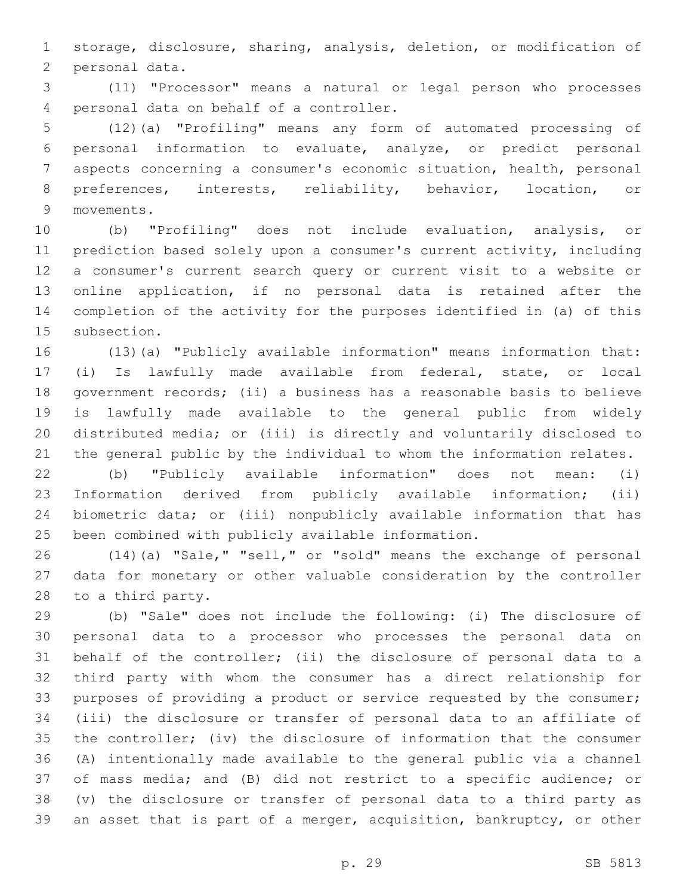storage, disclosure, sharing, analysis, deletion, or modification of 2 personal data.

 (11) "Processor" means a natural or legal person who processes personal data on behalf of a controller.4

 (12)(a) "Profiling" means any form of automated processing of personal information to evaluate, analyze, or predict personal aspects concerning a consumer's economic situation, health, personal preferences, interests, reliability, behavior, location, or 9 movements.

 (b) "Profiling" does not include evaluation, analysis, or prediction based solely upon a consumer's current activity, including a consumer's current search query or current visit to a website or online application, if no personal data is retained after the completion of the activity for the purposes identified in (a) of this 15 subsection.

 (13)(a) "Publicly available information" means information that: (i) Is lawfully made available from federal, state, or local government records; (ii) a business has a reasonable basis to believe is lawfully made available to the general public from widely distributed media; or (iii) is directly and voluntarily disclosed to the general public by the individual to whom the information relates.

 (b) "Publicly available information" does not mean: (i) Information derived from publicly available information; (ii) biometric data; or (iii) nonpublicly available information that has been combined with publicly available information.

 (14)(a) "Sale," "sell," or "sold" means the exchange of personal data for monetary or other valuable consideration by the controller 28 to a third party.

 (b) "Sale" does not include the following: (i) The disclosure of personal data to a processor who processes the personal data on behalf of the controller; (ii) the disclosure of personal data to a third party with whom the consumer has a direct relationship for purposes of providing a product or service requested by the consumer; (iii) the disclosure or transfer of personal data to an affiliate of the controller; (iv) the disclosure of information that the consumer (A) intentionally made available to the general public via a channel of mass media; and (B) did not restrict to a specific audience; or (v) the disclosure or transfer of personal data to a third party as an asset that is part of a merger, acquisition, bankruptcy, or other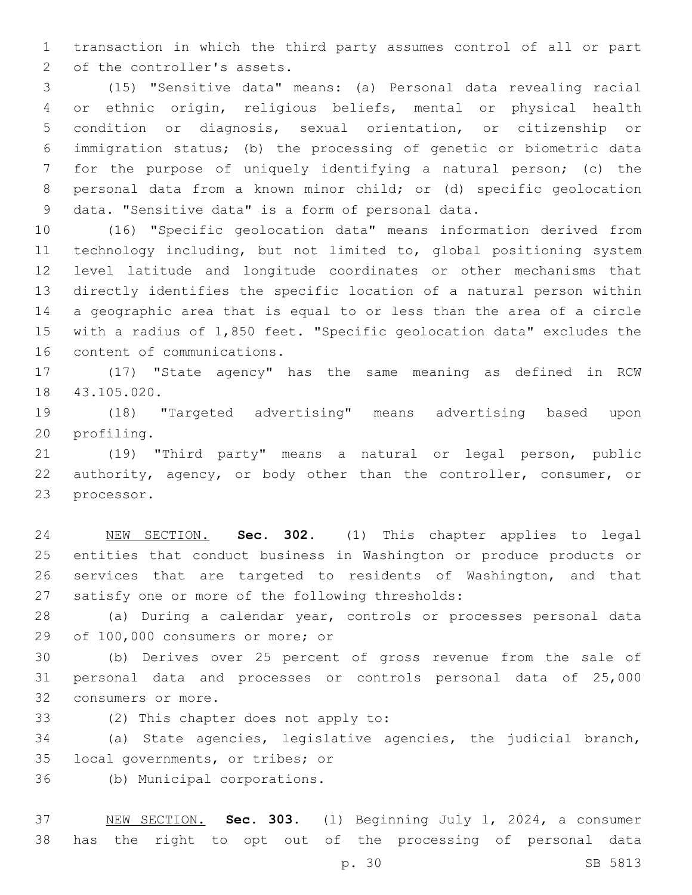transaction in which the third party assumes control of all or part 2 of the controller's assets.

 (15) "Sensitive data" means: (a) Personal data revealing racial or ethnic origin, religious beliefs, mental or physical health condition or diagnosis, sexual orientation, or citizenship or immigration status; (b) the processing of genetic or biometric data for the purpose of uniquely identifying a natural person; (c) the personal data from a known minor child; or (d) specific geolocation 9 data. "Sensitive data" is a form of personal data.

 (16) "Specific geolocation data" means information derived from technology including, but not limited to, global positioning system level latitude and longitude coordinates or other mechanisms that directly identifies the specific location of a natural person within a geographic area that is equal to or less than the area of a circle with a radius of 1,850 feet. "Specific geolocation data" excludes the 16 content of communications.

 (17) "State agency" has the same meaning as defined in RCW 18 43.105.020.

 (18) "Targeted advertising" means advertising based upon 20 profiling.

 (19) "Third party" means a natural or legal person, public 22 authority, agency, or body other than the controller, consumer, or 23 processor.

 NEW SECTION. **Sec. 302.** (1) This chapter applies to legal entities that conduct business in Washington or produce products or services that are targeted to residents of Washington, and that satisfy one or more of the following thresholds:

 (a) During a calendar year, controls or processes personal data 29 of 100,000 consumers or more; or

 (b) Derives over 25 percent of gross revenue from the sale of personal data and processes or controls personal data of 25,000 32 consumers or more.

33 (2) This chapter does not apply to:

 (a) State agencies, legislative agencies, the judicial branch, 35 local governments, or tribes; or

(b) Municipal corporations.36

 NEW SECTION. **Sec. 303.** (1) Beginning July 1, 2024, a consumer has the right to opt out of the processing of personal data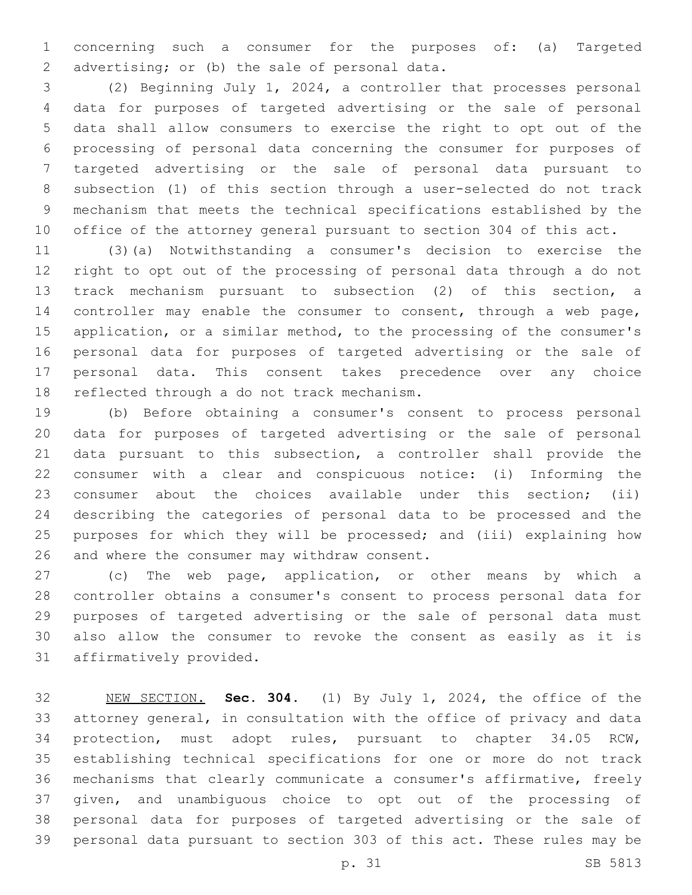concerning such a consumer for the purposes of: (a) Targeted 2 advertising; or (b) the sale of personal data.

 (2) Beginning July 1, 2024, a controller that processes personal data for purposes of targeted advertising or the sale of personal data shall allow consumers to exercise the right to opt out of the processing of personal data concerning the consumer for purposes of targeted advertising or the sale of personal data pursuant to subsection (1) of this section through a user-selected do not track mechanism that meets the technical specifications established by the office of the attorney general pursuant to section 304 of this act.

 (3)(a) Notwithstanding a consumer's decision to exercise the right to opt out of the processing of personal data through a do not track mechanism pursuant to subsection (2) of this section, a controller may enable the consumer to consent, through a web page, application, or a similar method, to the processing of the consumer's personal data for purposes of targeted advertising or the sale of personal data. This consent takes precedence over any choice 18 reflected through a do not track mechanism.

 (b) Before obtaining a consumer's consent to process personal data for purposes of targeted advertising or the sale of personal data pursuant to this subsection, a controller shall provide the consumer with a clear and conspicuous notice: (i) Informing the consumer about the choices available under this section; (ii) describing the categories of personal data to be processed and the purposes for which they will be processed; and (iii) explaining how 26 and where the consumer may withdraw consent.

 (c) The web page, application, or other means by which a controller obtains a consumer's consent to process personal data for purposes of targeted advertising or the sale of personal data must also allow the consumer to revoke the consent as easily as it is 31 affirmatively provided.

 NEW SECTION. **Sec. 304.** (1) By July 1, 2024, the office of the attorney general, in consultation with the office of privacy and data protection, must adopt rules, pursuant to chapter 34.05 RCW, establishing technical specifications for one or more do not track mechanisms that clearly communicate a consumer's affirmative, freely given, and unambiguous choice to opt out of the processing of personal data for purposes of targeted advertising or the sale of personal data pursuant to section 303 of this act. These rules may be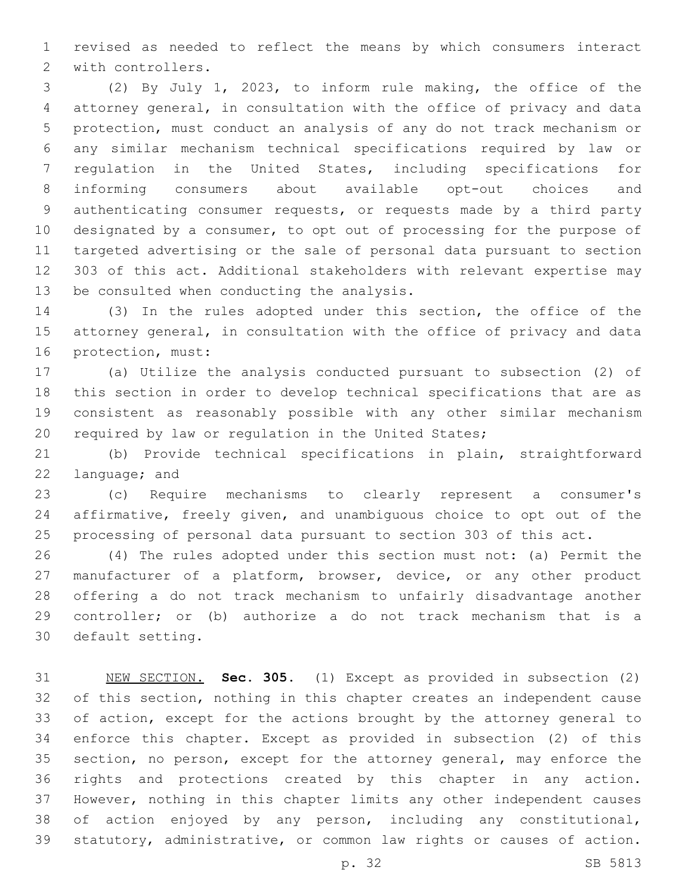revised as needed to reflect the means by which consumers interact 2 with controllers.

 (2) By July 1, 2023, to inform rule making, the office of the attorney general, in consultation with the office of privacy and data protection, must conduct an analysis of any do not track mechanism or any similar mechanism technical specifications required by law or regulation in the United States, including specifications for informing consumers about available opt-out choices and authenticating consumer requests, or requests made by a third party designated by a consumer, to opt out of processing for the purpose of targeted advertising or the sale of personal data pursuant to section 303 of this act. Additional stakeholders with relevant expertise may 13 be consulted when conducting the analysis.

 (3) In the rules adopted under this section, the office of the attorney general, in consultation with the office of privacy and data 16 protection, must:

 (a) Utilize the analysis conducted pursuant to subsection (2) of this section in order to develop technical specifications that are as consistent as reasonably possible with any other similar mechanism required by law or regulation in the United States;

 (b) Provide technical specifications in plain, straightforward 22 language; and

 (c) Require mechanisms to clearly represent a consumer's affirmative, freely given, and unambiguous choice to opt out of the processing of personal data pursuant to section 303 of this act.

 (4) The rules adopted under this section must not: (a) Permit the manufacturer of a platform, browser, device, or any other product offering a do not track mechanism to unfairly disadvantage another controller; or (b) authorize a do not track mechanism that is a 30 default setting.

 NEW SECTION. **Sec. 305.** (1) Except as provided in subsection (2) of this section, nothing in this chapter creates an independent cause of action, except for the actions brought by the attorney general to enforce this chapter. Except as provided in subsection (2) of this section, no person, except for the attorney general, may enforce the rights and protections created by this chapter in any action. However, nothing in this chapter limits any other independent causes of action enjoyed by any person, including any constitutional, statutory, administrative, or common law rights or causes of action.

p. 32 SB 5813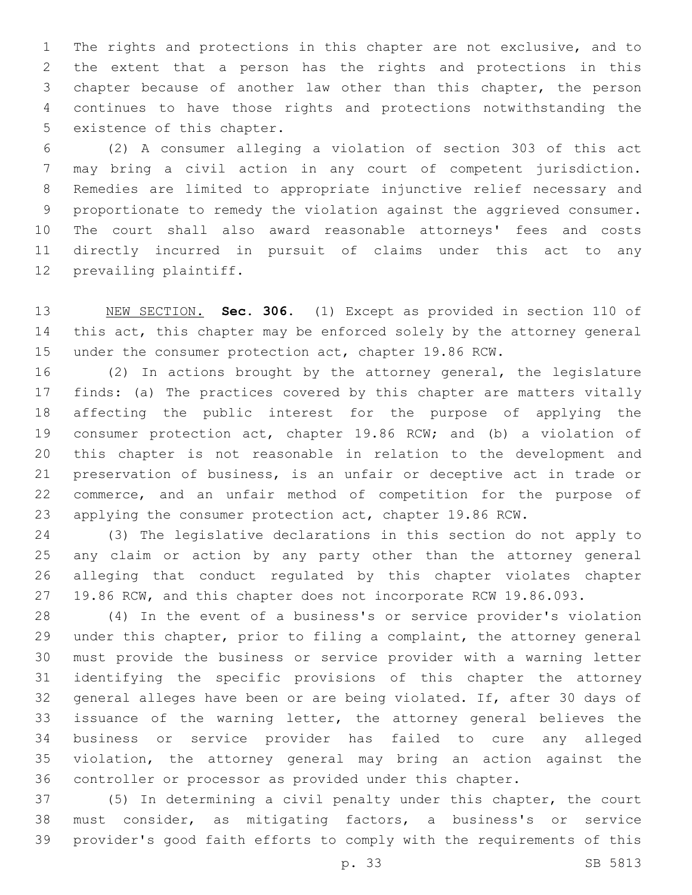The rights and protections in this chapter are not exclusive, and to the extent that a person has the rights and protections in this chapter because of another law other than this chapter, the person continues to have those rights and protections notwithstanding the 5 existence of this chapter.

 (2) A consumer alleging a violation of section 303 of this act may bring a civil action in any court of competent jurisdiction. Remedies are limited to appropriate injunctive relief necessary and proportionate to remedy the violation against the aggrieved consumer. The court shall also award reasonable attorneys' fees and costs directly incurred in pursuit of claims under this act to any 12 prevailing plaintiff.

 NEW SECTION. **Sec. 306.** (1) Except as provided in section 110 of 14 this act, this chapter may be enforced solely by the attorney general under the consumer protection act, chapter 19.86 RCW.

 (2) In actions brought by the attorney general, the legislature finds: (a) The practices covered by this chapter are matters vitally affecting the public interest for the purpose of applying the consumer protection act, chapter 19.86 RCW; and (b) a violation of this chapter is not reasonable in relation to the development and preservation of business, is an unfair or deceptive act in trade or commerce, and an unfair method of competition for the purpose of applying the consumer protection act, chapter 19.86 RCW.

 (3) The legislative declarations in this section do not apply to any claim or action by any party other than the attorney general alleging that conduct regulated by this chapter violates chapter 19.86 RCW, and this chapter does not incorporate RCW 19.86.093.

 (4) In the event of a business's or service provider's violation under this chapter, prior to filing a complaint, the attorney general must provide the business or service provider with a warning letter identifying the specific provisions of this chapter the attorney general alleges have been or are being violated. If, after 30 days of issuance of the warning letter, the attorney general believes the business or service provider has failed to cure any alleged violation, the attorney general may bring an action against the controller or processor as provided under this chapter.

 (5) In determining a civil penalty under this chapter, the court must consider, as mitigating factors, a business's or service provider's good faith efforts to comply with the requirements of this